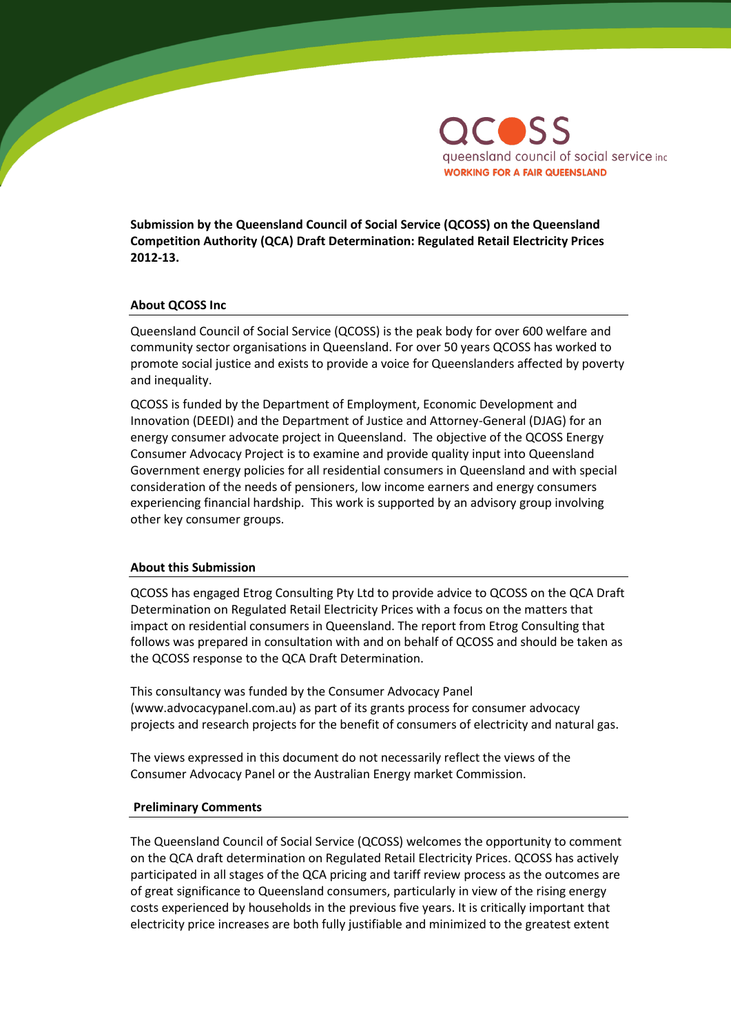

**Submission by the Queensland Council of Social Service (QCOSS) on the Queensland Competition Authority (QCA) Draft Determination: Regulated Retail Electricity Prices 2012-13.** 

#### **About QCOSS Inc**

Queensland Council of Social Service (QCOSS) is the peak body for over 600 welfare and community sector organisations in Queensland. For over 50 years QCOSS has worked to promote social justice and exists to provide a voice for Queenslanders affected by poverty and inequality.

QCOSS is funded by the Department of Employment, Economic Development and Innovation (DEEDI) and the Department of Justice and Attorney-General (DJAG) for an energy consumer advocate project in Queensland. The objective of the QCOSS Energy Consumer Advocacy Project is to examine and provide quality input into Queensland Government energy policies for all residential consumers in Queensland and with special consideration of the needs of pensioners, low income earners and energy consumers experiencing financial hardship. This work is supported by an advisory group involving other key consumer groups.

#### **About this Submission**

QCOSS has engaged Etrog Consulting Pty Ltd to provide advice to QCOSS on the QCA Draft Determination on Regulated Retail Electricity Prices with a focus on the matters that impact on residential consumers in Queensland. The report from Etrog Consulting that follows was prepared in consultation with and on behalf of QCOSS and should be taken as the QCOSS response to the QCA Draft Determination.

This consultancy was funded by the Consumer Advocacy Panel (www.advocacypanel.com.au) as part of its grants process for consumer advocacy projects and research projects for the benefit of consumers of electricity and natural gas.

The views expressed in this document do not necessarily reflect the views of the Consumer Advocacy Panel or the Australian Energy market Commission.

#### **Preliminary Comments**

The Queensland Council of Social Service (QCOSS) welcomes the opportunity to comment on the QCA draft determination on Regulated Retail Electricity Prices. QCOSS has actively participated in all stages of the QCA pricing and tariff review process as the outcomes are of great significance to Queensland consumers, particularly in view of the rising energy costs experienced by households in the previous five years. It is critically important that electricity price increases are both fully justifiable and minimized to the greatest extent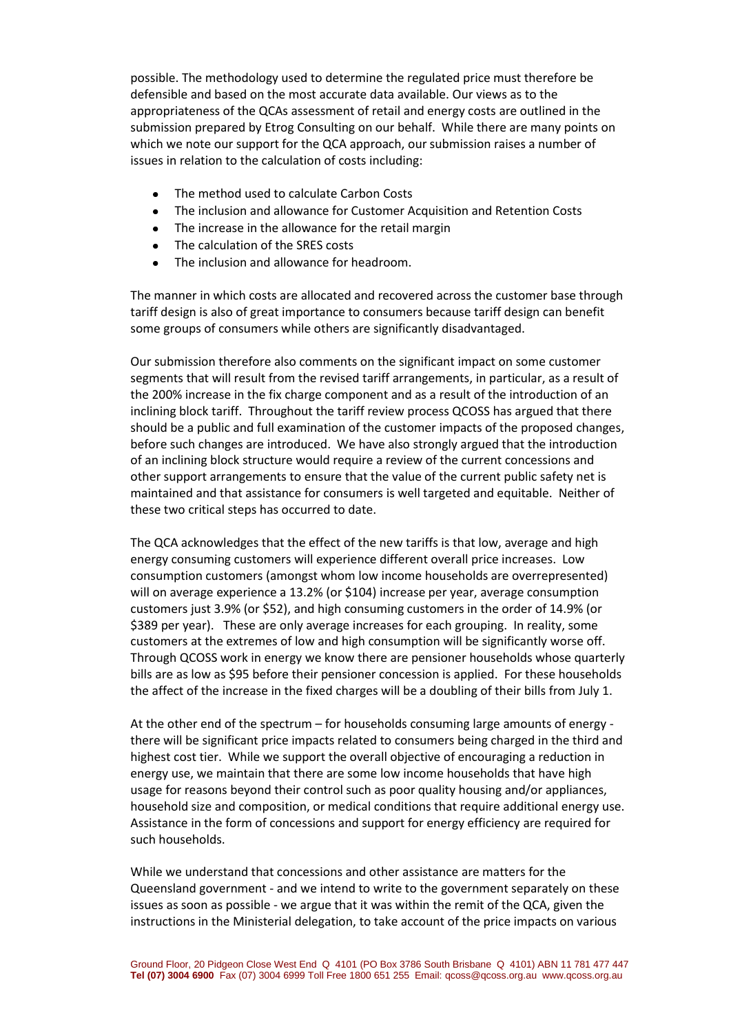possible. The methodology used to determine the regulated price must therefore be defensible and based on the most accurate data available. Our views as to the appropriateness of the QCAs assessment of retail and energy costs are outlined in the submission prepared by Etrog Consulting on our behalf. While there are many points on which we note our support for the QCA approach, our submission raises a number of issues in relation to the calculation of costs including:

- The method used to calculate Carbon Costs
- The inclusion and allowance for Customer Acquisition and Retention Costs
- The increase in the allowance for the retail margin
- The calculation of the SRES costs
- The inclusion and allowance for headroom.

The manner in which costs are allocated and recovered across the customer base through tariff design is also of great importance to consumers because tariff design can benefit some groups of consumers while others are significantly disadvantaged.

Our submission therefore also comments on the significant impact on some customer segments that will result from the revised tariff arrangements, in particular, as a result of the 200% increase in the fix charge component and as a result of the introduction of an inclining block tariff. Throughout the tariff review process QCOSS has argued that there should be a public and full examination of the customer impacts of the proposed changes, before such changes are introduced. We have also strongly argued that the introduction of an inclining block structure would require a review of the current concessions and other support arrangements to ensure that the value of the current public safety net is maintained and that assistance for consumers is well targeted and equitable. Neither of these two critical steps has occurred to date.

The QCA acknowledges that the effect of the new tariffs is that low, average and high energy consuming customers will experience different overall price increases. Low consumption customers (amongst whom low income households are overrepresented) will on average experience a 13.2% (or \$104) increase per year, average consumption customers just 3.9% (or \$52), and high consuming customers in the order of 14.9% (or \$389 per year). These are only average increases for each grouping. In reality, some customers at the extremes of low and high consumption will be significantly worse off. Through QCOSS work in energy we know there are pensioner households whose quarterly bills are as low as \$95 before their pensioner concession is applied. For these households the affect of the increase in the fixed charges will be a doubling of their bills from July 1.

At the other end of the spectrum – for households consuming large amounts of energy there will be significant price impacts related to consumers being charged in the third and highest cost tier. While we support the overall objective of encouraging a reduction in energy use, we maintain that there are some low income households that have high usage for reasons beyond their control such as poor quality housing and/or appliances, household size and composition, or medical conditions that require additional energy use. Assistance in the form of concessions and support for energy efficiency are required for such households.

While we understand that concessions and other assistance are matters for the Queensland government - and we intend to write to the government separately on these issues as soon as possible - we argue that it was within the remit of the QCA, given the instructions in the Ministerial delegation, to take account of the price impacts on various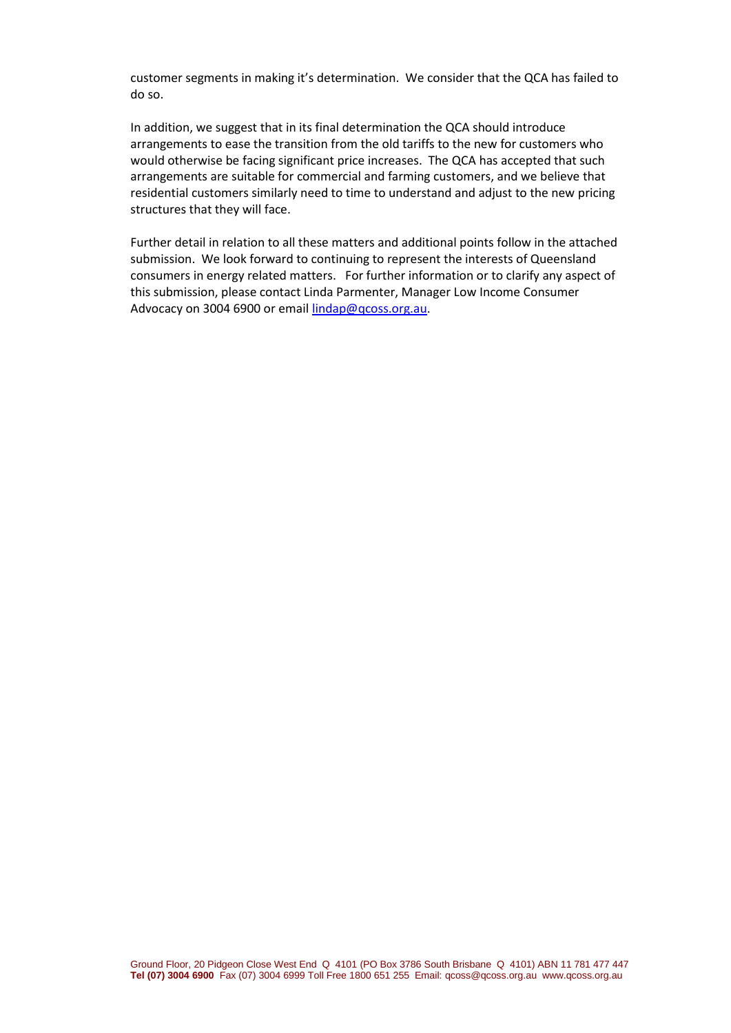customer segments in making it's determination. We consider that the QCA has failed to do so.

In addition, we suggest that in its final determination the QCA should introduce arrangements to ease the transition from the old tariffs to the new for customers who would otherwise be facing significant price increases. The QCA has accepted that such arrangements are suitable for commercial and farming customers, and we believe that residential customers similarly need to time to understand and adjust to the new pricing structures that they will face.

Further detail in relation to all these matters and additional points follow in the attached submission. We look forward to continuing to represent the interests of Queensland consumers in energy related matters. For further information or to clarify any aspect of this submission, please contact Linda Parmenter, Manager Low Income Consumer Advocacy on 3004 6900 or email [lindap@qcoss.org.au.](mailto:lindap@qcoss.org.au)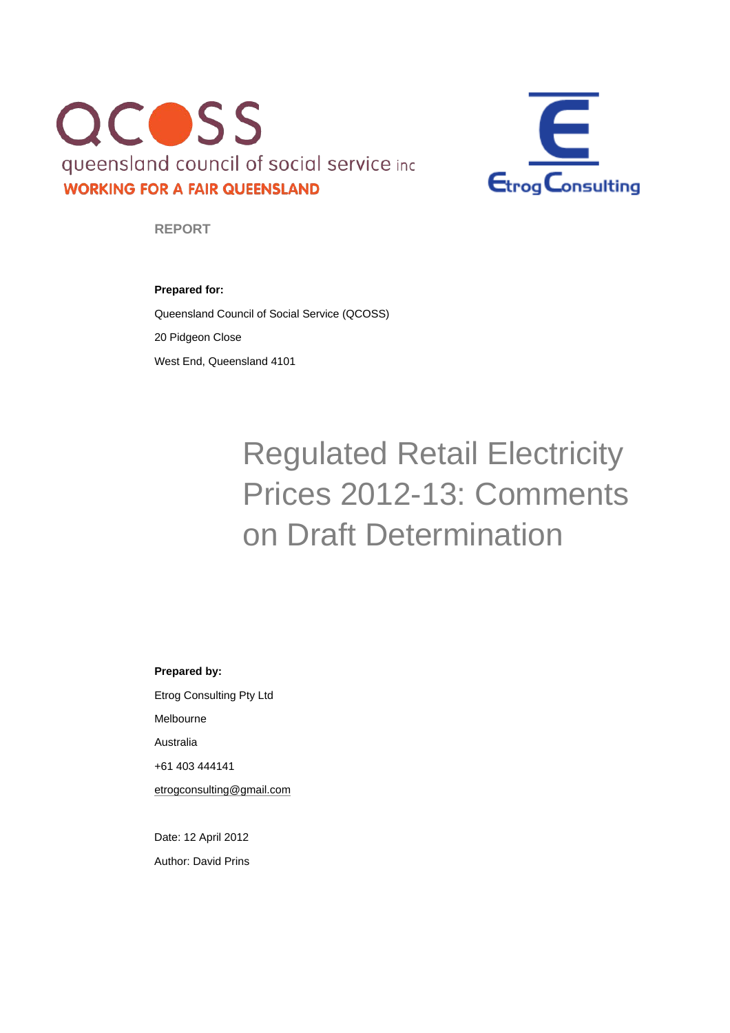



**REPORT** 

### **Prepared for:**

Queensland Council of Social Service (QCOSS) 20 Pidgeon Close West End, Queensland 4101

# Regulated Retail Electricity Prices 2012-13: Comments on Draft Determination

#### **Prepared by:**

Etrog Consulting Pty Ltd Melbourne Australia +61 403 444141 etrogconsulting@gmail.com

Date: 12 April 2012 Author: David Prins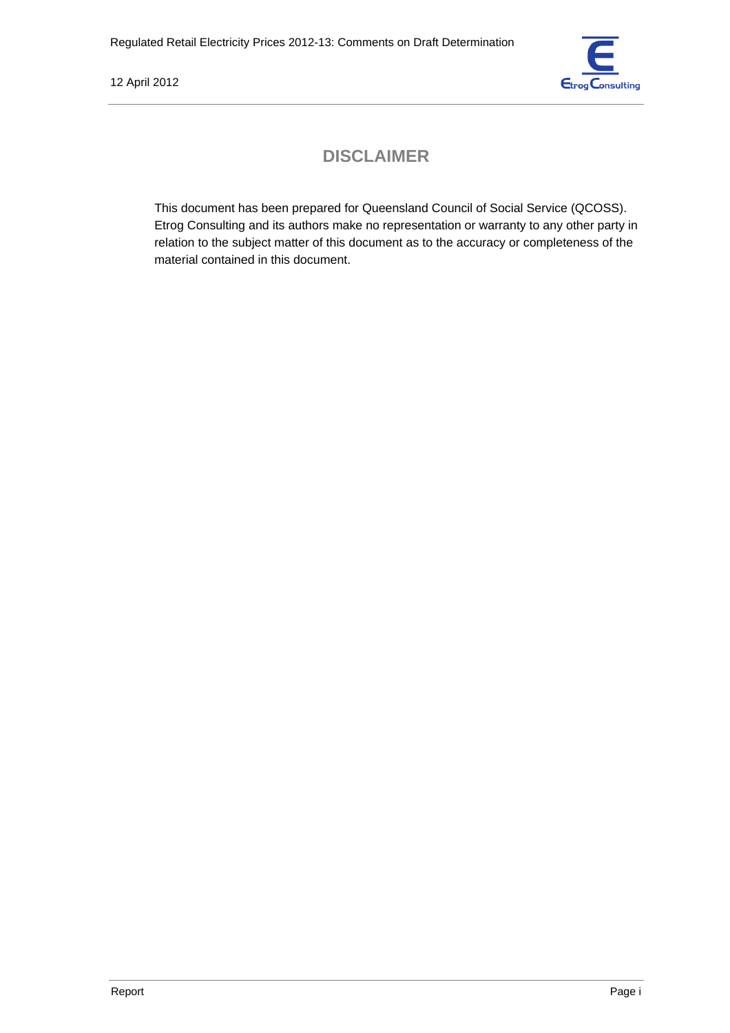

# **DISCLAIMER**

This document has been prepared for Queensland Council of Social Service (QCOSS). Etrog Consulting and its authors make no representation or warranty to any other party in relation to the subject matter of this document as to the accuracy or completeness of the material contained in this document.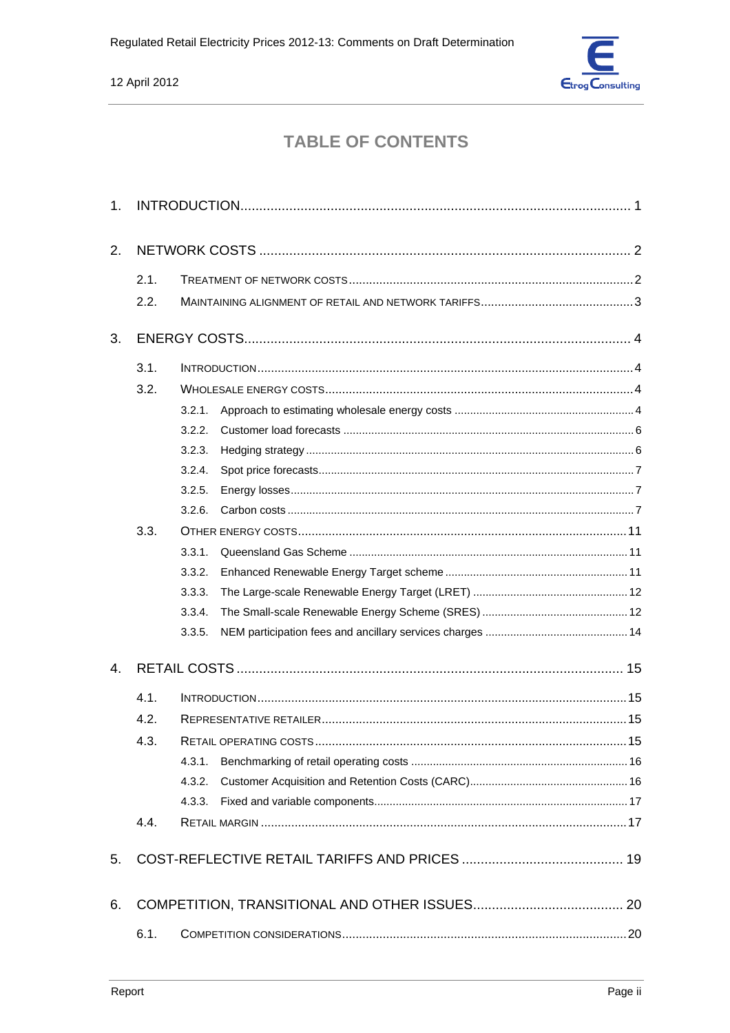

# **TABLE OF CONTENTS**

| 1.   |      |        |  |  |  |  |
|------|------|--------|--|--|--|--|
| 2.   |      |        |  |  |  |  |
|      | 2.1. |        |  |  |  |  |
|      | 2.2. |        |  |  |  |  |
| 3.   |      |        |  |  |  |  |
|      | 3.1. |        |  |  |  |  |
|      | 3.2. |        |  |  |  |  |
|      |      | 3.2.1. |  |  |  |  |
|      |      | 3.2.2. |  |  |  |  |
|      |      | 3.2.3. |  |  |  |  |
|      |      | 3.2.4. |  |  |  |  |
|      |      | 3.2.5. |  |  |  |  |
|      |      | 3.2.6. |  |  |  |  |
|      | 3.3. |        |  |  |  |  |
|      |      | 3.3.1. |  |  |  |  |
|      |      | 3.3.2. |  |  |  |  |
|      |      | 3.3.3. |  |  |  |  |
|      |      | 3.3.4. |  |  |  |  |
|      |      | 3.3.5. |  |  |  |  |
| 4.   |      |        |  |  |  |  |
|      | 4.1. |        |  |  |  |  |
|      | 4.2. |        |  |  |  |  |
| 4.3. |      |        |  |  |  |  |
|      |      | 4.3.1. |  |  |  |  |
|      |      | 4.3.2. |  |  |  |  |
|      |      | 4.3.3. |  |  |  |  |
|      | 4.4. |        |  |  |  |  |
| 5.   |      |        |  |  |  |  |
| 6.   |      |        |  |  |  |  |
|      | 6.1. |        |  |  |  |  |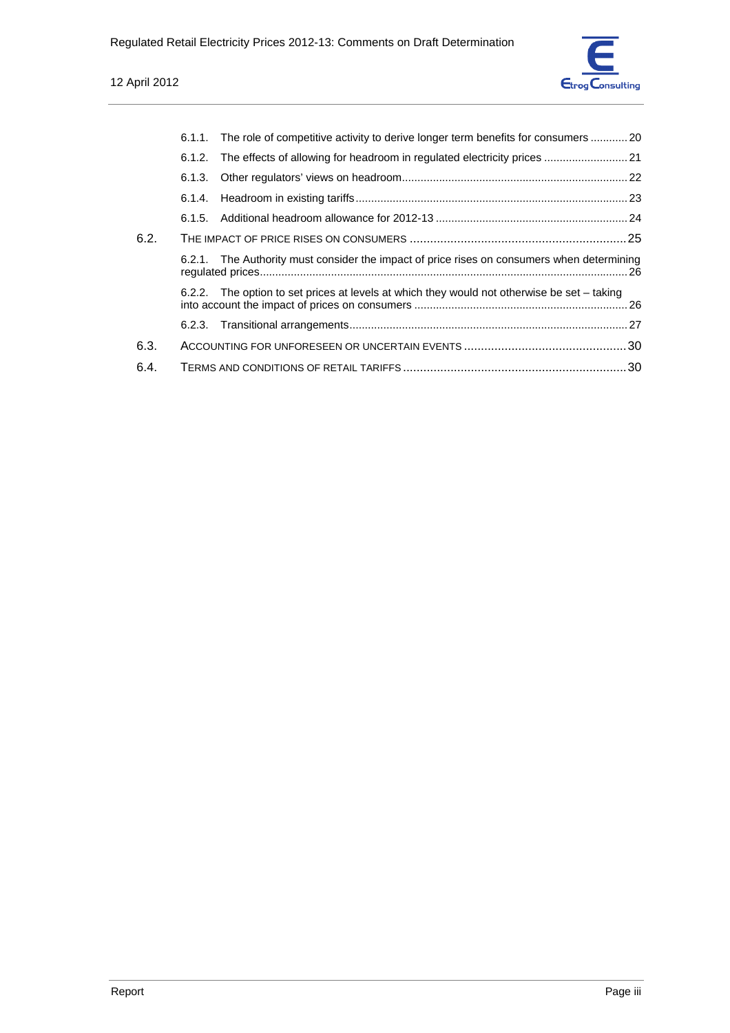

|      | 6.1.1. The role of competitive activity to derive longer term benefits for consumers 20     |  |
|------|---------------------------------------------------------------------------------------------|--|
|      | 6.1.2. The effects of allowing for headroom in regulated electricity prices                 |  |
|      |                                                                                             |  |
|      |                                                                                             |  |
|      |                                                                                             |  |
| 6.2. |                                                                                             |  |
|      | 6.2.1. The Authority must consider the impact of price rises on consumers when determining  |  |
|      | 6.2.2. The option to set prices at levels at which they would not otherwise be set - taking |  |
|      |                                                                                             |  |
| 6.3. |                                                                                             |  |
| 6.4. |                                                                                             |  |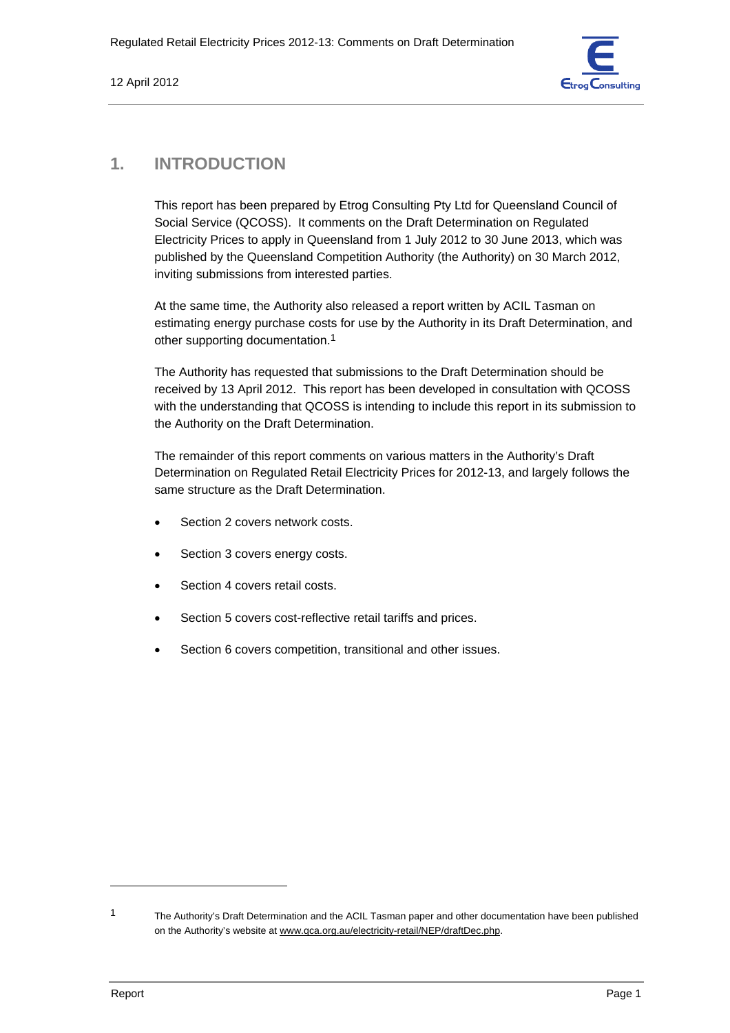

# **1. INTRODUCTION**

This report has been prepared by Etrog Consulting Pty Ltd for Queensland Council of Social Service (QCOSS). It comments on the Draft Determination on Regulated Electricity Prices to apply in Queensland from 1 July 2012 to 30 June 2013, which was published by the Queensland Competition Authority (the Authority) on 30 March 2012, inviting submissions from interested parties.

At the same time, the Authority also released a report written by ACIL Tasman on estimating energy purchase costs for use by the Authority in its Draft Determination, and other supporting documentation.1

The Authority has requested that submissions to the Draft Determination should be received by 13 April 2012. This report has been developed in consultation with QCOSS with the understanding that QCOSS is intending to include this report in its submission to the Authority on the Draft Determination.

The remainder of this report comments on various matters in the Authority's Draft Determination on Regulated Retail Electricity Prices for 2012-13, and largely follows the same structure as the Draft Determination.

- Section 2 covers network costs.
- Section 3 covers energy costs.
- Section 4 covers retail costs.
- Section 5 covers cost-reflective retail tariffs and prices.
- Section 6 covers competition, transitional and other issues.

<sup>1</sup> The Authority's Draft Determination and the ACIL Tasman paper and other documentation have been published on the Authority's website at www.qca.org.au/electricity-retail/NEP/draftDec.php.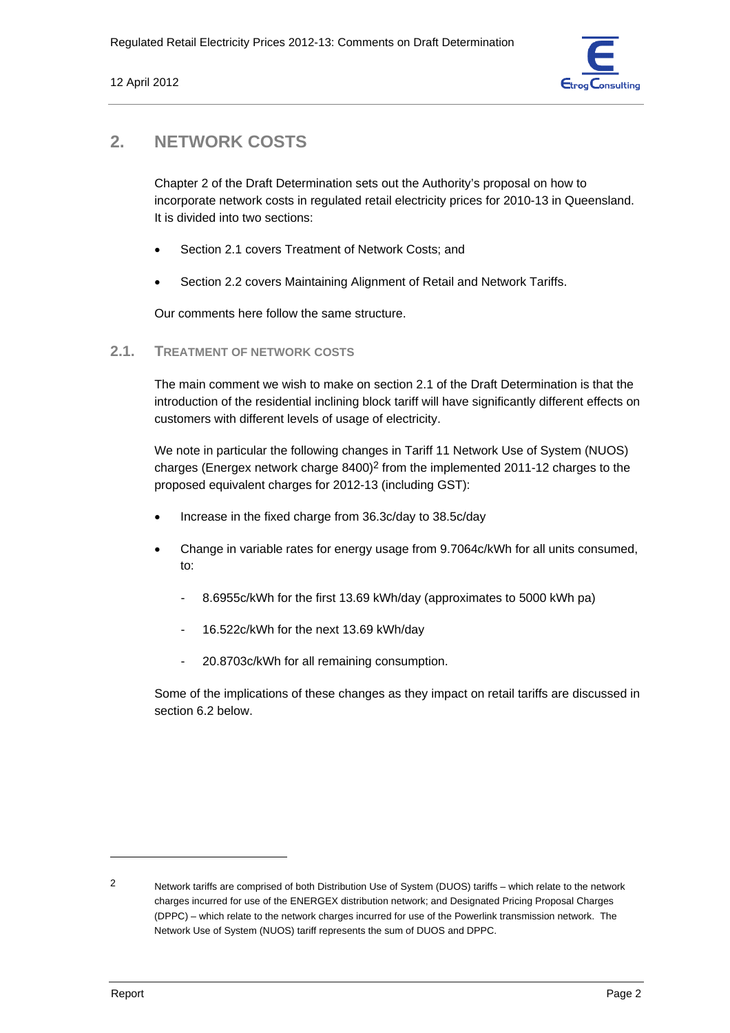

# **2. NETWORK COSTS**

Chapter 2 of the Draft Determination sets out the Authority's proposal on how to incorporate network costs in regulated retail electricity prices for 2010-13 in Queensland. It is divided into two sections:

- Section 2.1 covers Treatment of Network Costs; and
- Section 2.2 covers Maintaining Alignment of Retail and Network Tariffs.

Our comments here follow the same structure.

# **2.1. TREATMENT OF NETWORK COSTS**

The main comment we wish to make on section 2.1 of the Draft Determination is that the introduction of the residential inclining block tariff will have significantly different effects on customers with different levels of usage of electricity.

We note in particular the following changes in Tariff 11 Network Use of System (NUOS) charges (Energex network charge  $8400$ )<sup>2</sup> from the implemented 2011-12 charges to the proposed equivalent charges for 2012-13 (including GST):

- Increase in the fixed charge from 36.3c/day to 38.5c/day
- Change in variable rates for energy usage from 9.7064c/kWh for all units consumed, to:
	- 8.6955c/kWh for the first 13.69 kWh/day (approximates to 5000 kWh pa)
	- 16.522c/kWh for the next 13.69 kWh/day
	- 20.8703c/kWh for all remaining consumption.

Some of the implications of these changes as they impact on retail tariffs are discussed in section 6.2 below.

<sup>2</sup> Network tariffs are comprised of both Distribution Use of System (DUOS) tariffs – which relate to the network charges incurred for use of the ENERGEX distribution network; and Designated Pricing Proposal Charges (DPPC) – which relate to the network charges incurred for use of the Powerlink transmission network. The Network Use of System (NUOS) tariff represents the sum of DUOS and DPPC.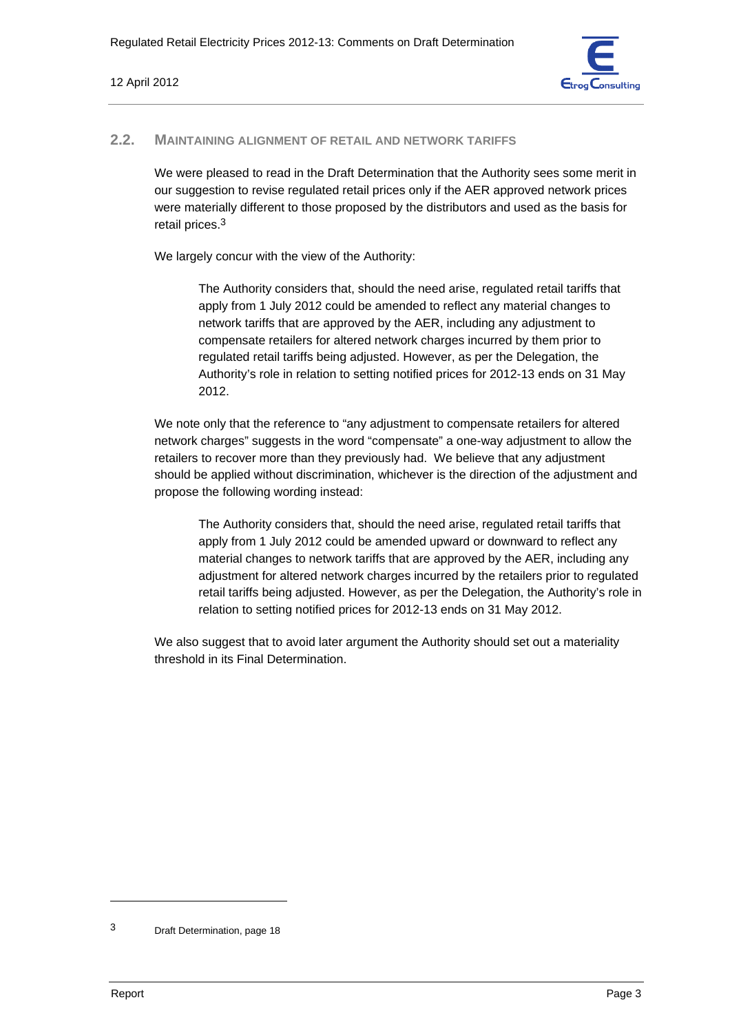

### **2.2. MAINTAINING ALIGNMENT OF RETAIL AND NETWORK TARIFFS**

We were pleased to read in the Draft Determination that the Authority sees some merit in our suggestion to revise regulated retail prices only if the AER approved network prices were materially different to those proposed by the distributors and used as the basis for retail prices.3

We largely concur with the view of the Authority:

The Authority considers that, should the need arise, regulated retail tariffs that apply from 1 July 2012 could be amended to reflect any material changes to network tariffs that are approved by the AER, including any adjustment to compensate retailers for altered network charges incurred by them prior to regulated retail tariffs being adjusted. However, as per the Delegation, the Authority's role in relation to setting notified prices for 2012-13 ends on 31 May 2012.

We note only that the reference to "any adjustment to compensate retailers for altered network charges" suggests in the word "compensate" a one-way adjustment to allow the retailers to recover more than they previously had. We believe that any adjustment should be applied without discrimination, whichever is the direction of the adjustment and propose the following wording instead:

The Authority considers that, should the need arise, regulated retail tariffs that apply from 1 July 2012 could be amended upward or downward to reflect any material changes to network tariffs that are approved by the AER, including any adjustment for altered network charges incurred by the retailers prior to regulated retail tariffs being adjusted. However, as per the Delegation, the Authority's role in relation to setting notified prices for 2012-13 ends on 31 May 2012.

We also suggest that to avoid later argument the Authority should set out a materiality threshold in its Final Determination.

<sup>3</sup> Draft Determination, page 18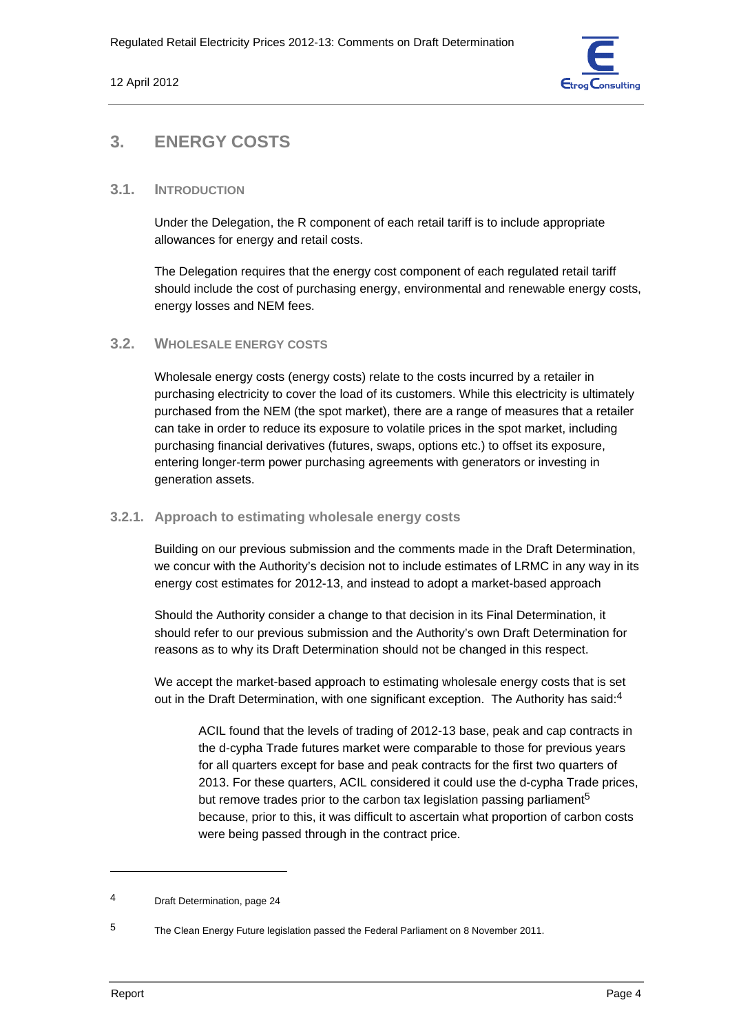

# **3. ENERGY COSTS**

# **3.1. INTRODUCTION**

Under the Delegation, the R component of each retail tariff is to include appropriate allowances for energy and retail costs.

The Delegation requires that the energy cost component of each regulated retail tariff should include the cost of purchasing energy, environmental and renewable energy costs, energy losses and NEM fees.

# **3.2. WHOLESALE ENERGY COSTS**

Wholesale energy costs (energy costs) relate to the costs incurred by a retailer in purchasing electricity to cover the load of its customers. While this electricity is ultimately purchased from the NEM (the spot market), there are a range of measures that a retailer can take in order to reduce its exposure to volatile prices in the spot market, including purchasing financial derivatives (futures, swaps, options etc.) to offset its exposure, entering longer-term power purchasing agreements with generators or investing in generation assets.

## **3.2.1. Approach to estimating wholesale energy costs**

Building on our previous submission and the comments made in the Draft Determination, we concur with the Authority's decision not to include estimates of LRMC in any way in its energy cost estimates for 2012-13, and instead to adopt a market-based approach

Should the Authority consider a change to that decision in its Final Determination, it should refer to our previous submission and the Authority's own Draft Determination for reasons as to why its Draft Determination should not be changed in this respect.

We accept the market-based approach to estimating wholesale energy costs that is set out in the Draft Determination, with one significant exception. The Authority has said:<sup>4</sup>

ACIL found that the levels of trading of 2012-13 base, peak and cap contracts in the d-cypha Trade futures market were comparable to those for previous years for all quarters except for base and peak contracts for the first two quarters of 2013. For these quarters, ACIL considered it could use the d-cypha Trade prices, but remove trades prior to the carbon tax legislation passing parliament<sup>5</sup> because, prior to this, it was difficult to ascertain what proportion of carbon costs were being passed through in the contract price.

<sup>4</sup> Draft Determination, page 24

<sup>5</sup> The Clean Energy Future legislation passed the Federal Parliament on 8 November 2011.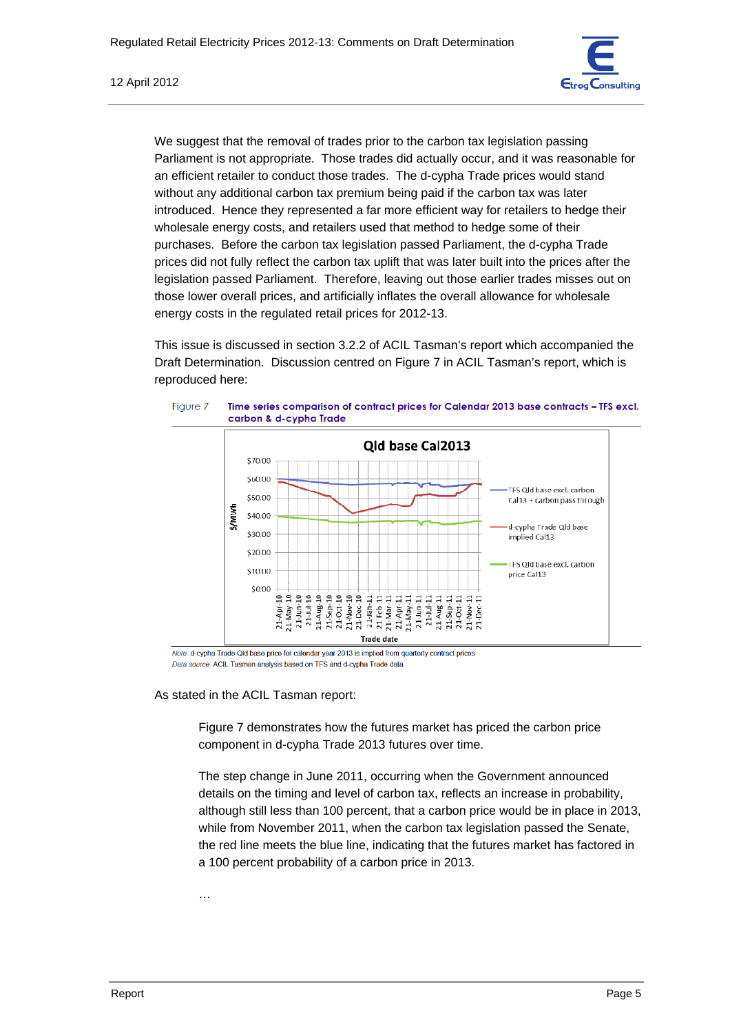

We suggest that the removal of trades prior to the carbon tax legislation passing Parliament is not appropriate. Those trades did actually occur, and it was reasonable for an efficient retailer to conduct those trades. The d-cypha Trade prices would stand without any additional carbon tax premium being paid if the carbon tax was later introduced. Hence they represented a far more efficient way for retailers to hedge their wholesale energy costs, and retailers used that method to hedge some of their purchases. Before the carbon tax legislation passed Parliament, the d-cypha Trade prices did not fully reflect the carbon tax uplift that was later built into the prices after the legislation passed Parliament. Therefore, leaving out those earlier trades misses out on those lower overall prices, and artificially inflates the overall allowance for wholesale energy costs in the regulated retail prices for 2012-13.

This issue is discussed in section 3.2.2 of ACIL Tasman's report which accompanied the Draft Determination. Discussion centred on Figure 7 in ACIL Tasman's report, which is reproduced here:



Note: d-cypha Trade Qld base price for calendar year 2013 is implied from quarterly contract prices Data source: ACIL Tasman analysis based on TFS and d-cypha Trade data

As stated in the ACIL Tasman report:

Figure 7 demonstrates how the futures market has priced the carbon price component in d-cypha Trade 2013 futures over time.

The step change in June 2011, occurring when the Government announced details on the timing and level of carbon tax, reflects an increase in probability, although still less than 100 percent, that a carbon price would be in place in 2013, while from November 2011, when the carbon tax legislation passed the Senate, the red line meets the blue line, indicating that the futures market has factored in a 100 percent probability of a carbon price in 2013.

…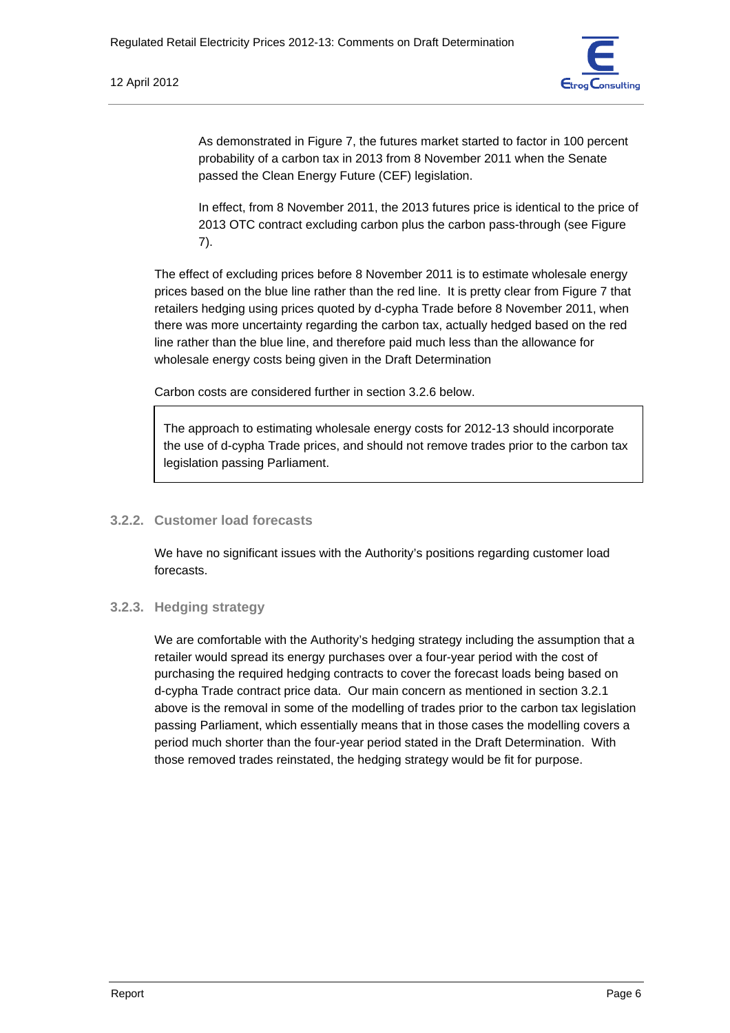

As demonstrated in Figure 7, the futures market started to factor in 100 percent probability of a carbon tax in 2013 from 8 November 2011 when the Senate passed the Clean Energy Future (CEF) legislation.

In effect, from 8 November 2011, the 2013 futures price is identical to the price of 2013 OTC contract excluding carbon plus the carbon pass-through (see Figure 7).

The effect of excluding prices before 8 November 2011 is to estimate wholesale energy prices based on the blue line rather than the red line. It is pretty clear from Figure 7 that retailers hedging using prices quoted by d-cypha Trade before 8 November 2011, when there was more uncertainty regarding the carbon tax, actually hedged based on the red line rather than the blue line, and therefore paid much less than the allowance for wholesale energy costs being given in the Draft Determination

Carbon costs are considered further in section 3.2.6 below.

The approach to estimating wholesale energy costs for 2012-13 should incorporate the use of d-cypha Trade prices, and should not remove trades prior to the carbon tax legislation passing Parliament.

# **3.2.2. Customer load forecasts**

We have no significant issues with the Authority's positions regarding customer load forecasts.

### **3.2.3. Hedging strategy**

We are comfortable with the Authority's hedging strategy including the assumption that a retailer would spread its energy purchases over a four-year period with the cost of purchasing the required hedging contracts to cover the forecast loads being based on d-cypha Trade contract price data. Our main concern as mentioned in section 3.2.1 above is the removal in some of the modelling of trades prior to the carbon tax legislation passing Parliament, which essentially means that in those cases the modelling covers a period much shorter than the four-year period stated in the Draft Determination. With those removed trades reinstated, the hedging strategy would be fit for purpose.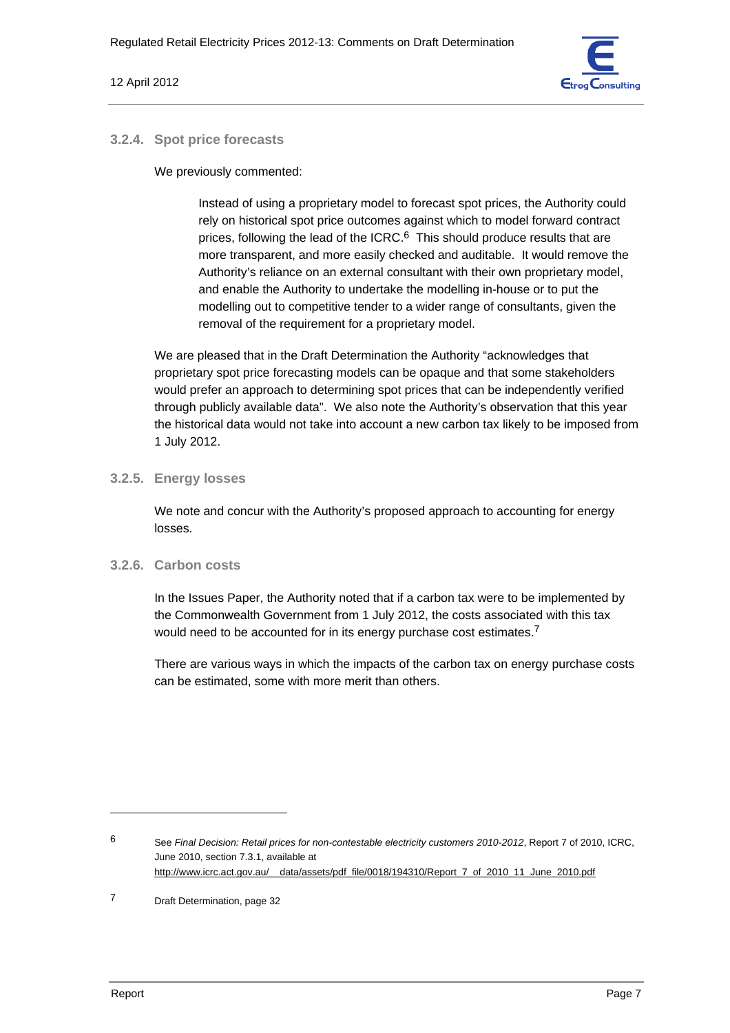

## **3.2.4. Spot price forecasts**

We previously commented:

Instead of using a proprietary model to forecast spot prices, the Authority could rely on historical spot price outcomes against which to model forward contract prices, following the lead of the ICRC.<sup>6</sup> This should produce results that are more transparent, and more easily checked and auditable. It would remove the Authority's reliance on an external consultant with their own proprietary model, and enable the Authority to undertake the modelling in-house or to put the modelling out to competitive tender to a wider range of consultants, given the removal of the requirement for a proprietary model.

We are pleased that in the Draft Determination the Authority "acknowledges that proprietary spot price forecasting models can be opaque and that some stakeholders would prefer an approach to determining spot prices that can be independently verified through publicly available data". We also note the Authority's observation that this year the historical data would not take into account a new carbon tax likely to be imposed from 1 July 2012.

# **3.2.5. Energy losses**

We note and concur with the Authority's proposed approach to accounting for energy losses.

### **3.2.6. Carbon costs**

In the Issues Paper, the Authority noted that if a carbon tax were to be implemented by the Commonwealth Government from 1 July 2012, the costs associated with this tax would need to be accounted for in its energy purchase cost estimates.<sup>7</sup>

There are various ways in which the impacts of the carbon tax on energy purchase costs can be estimated, some with more merit than others.

<sup>6</sup> See *Final Decision: Retail prices for non-contestable electricity customers 2010-2012*, Report 7 of 2010, ICRC, June 2010, section 7.3.1, available at http://www.icrc.act.gov.au/\_\_data/assets/pdf\_file/0018/194310/Report\_7\_of\_2010\_11\_June\_2010.pdf

<sup>7</sup> Draft Determination, page 32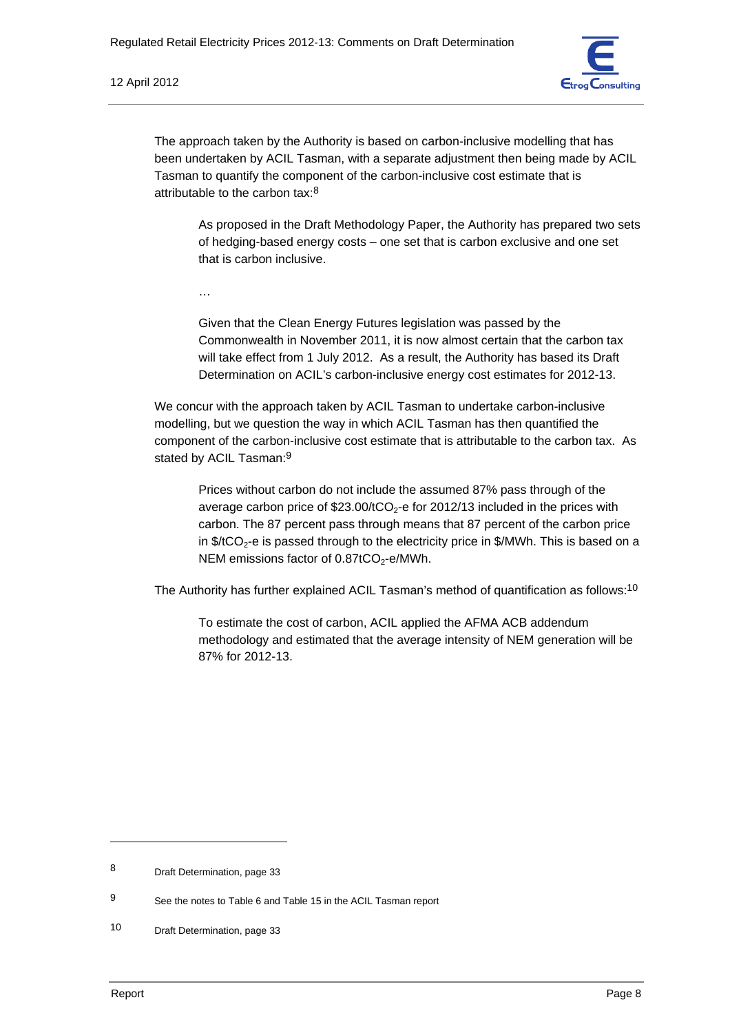

The approach taken by the Authority is based on carbon-inclusive modelling that has been undertaken by ACIL Tasman, with a separate adjustment then being made by ACIL Tasman to quantify the component of the carbon-inclusive cost estimate that is attributable to the carbon tax:8

As proposed in the Draft Methodology Paper, the Authority has prepared two sets of hedging-based energy costs – one set that is carbon exclusive and one set that is carbon inclusive.

…

Given that the Clean Energy Futures legislation was passed by the Commonwealth in November 2011, it is now almost certain that the carbon tax will take effect from 1 July 2012. As a result, the Authority has based its Draft Determination on ACIL's carbon-inclusive energy cost estimates for 2012-13.

We concur with the approach taken by ACIL Tasman to undertake carbon-inclusive modelling, but we question the way in which ACIL Tasman has then quantified the component of the carbon-inclusive cost estimate that is attributable to the carbon tax. As stated by ACIL Tasman:<sup>9</sup>

Prices without carbon do not include the assumed 87% pass through of the average carbon price of  $$23.00/tCO<sub>2</sub>$ -e for 2012/13 included in the prices with carbon. The 87 percent pass through means that 87 percent of the carbon price in  $\frac{4}{\sqrt{2}}$ -e is passed through to the electricity price in  $\frac{4}{\sqrt{2}}$  MWh. This is based on a NEM emissions factor of  $0.87$ tCO<sub>2</sub>-e/MWh.

The Authority has further explained ACIL Tasman's method of quantification as follows:<sup>10</sup>

To estimate the cost of carbon, ACIL applied the AFMA ACB addendum methodology and estimated that the average intensity of NEM generation will be 87% for 2012-13.

<sup>8</sup> Draft Determination, page 33

<sup>9</sup> See the notes to Table 6 and Table 15 in the ACIL Tasman report

<sup>10</sup> Draft Determination, page 33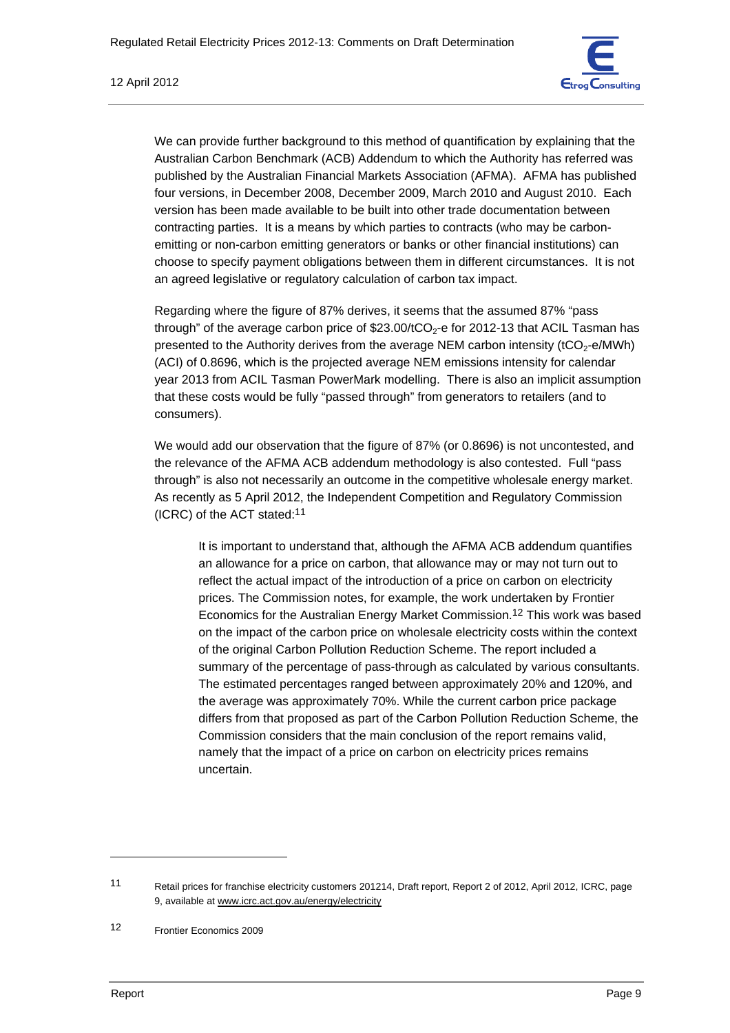

We can provide further background to this method of quantification by explaining that the Australian Carbon Benchmark (ACB) Addendum to which the Authority has referred was published by the Australian Financial Markets Association (AFMA). AFMA has published four versions, in December 2008, December 2009, March 2010 and August 2010. Each version has been made available to be built into other trade documentation between contracting parties. It is a means by which parties to contracts (who may be carbonemitting or non-carbon emitting generators or banks or other financial institutions) can choose to specify payment obligations between them in different circumstances. It is not an agreed legislative or regulatory calculation of carbon tax impact.

Regarding where the figure of 87% derives, it seems that the assumed 87% "pass through" of the average carbon price of  $$23.00/tCO<sub>2</sub>$ -e for 2012-13 that ACIL Tasman has presented to the Authority derives from the average NEM carbon intensity ( $tCO<sub>2</sub>$ -e/MWh) (ACI) of 0.8696, which is the projected average NEM emissions intensity for calendar year 2013 from ACIL Tasman PowerMark modelling. There is also an implicit assumption that these costs would be fully "passed through" from generators to retailers (and to consumers).

We would add our observation that the figure of 87% (or 0.8696) is not uncontested, and the relevance of the AFMA ACB addendum methodology is also contested. Full "pass through" is also not necessarily an outcome in the competitive wholesale energy market. As recently as 5 April 2012, the Independent Competition and Regulatory Commission (ICRC) of the ACT stated:11

It is important to understand that, although the AFMA ACB addendum quantifies an allowance for a price on carbon, that allowance may or may not turn out to reflect the actual impact of the introduction of a price on carbon on electricity prices. The Commission notes, for example, the work undertaken by Frontier Economics for the Australian Energy Market Commission.12 This work was based on the impact of the carbon price on wholesale electricity costs within the context of the original Carbon Pollution Reduction Scheme. The report included a summary of the percentage of pass-through as calculated by various consultants. The estimated percentages ranged between approximately 20% and 120%, and the average was approximately 70%. While the current carbon price package differs from that proposed as part of the Carbon Pollution Reduction Scheme, the Commission considers that the main conclusion of the report remains valid, namely that the impact of a price on carbon on electricity prices remains uncertain.

<sup>11</sup> Retail prices for franchise electricity customers 201214, Draft report, Report 2 of 2012, April 2012, ICRC, page 9, available at www.icrc.act.gov.au/energy/electricity

<sup>12</sup> Frontier Economics 2009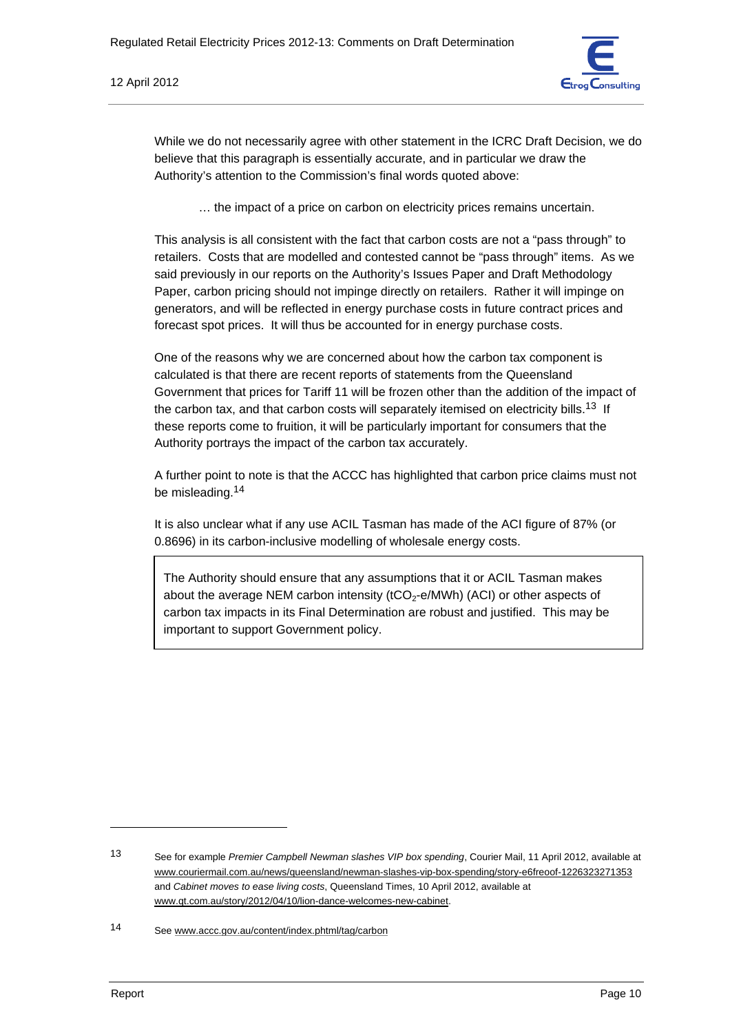

While we do not necessarily agree with other statement in the ICRC Draft Decision, we do believe that this paragraph is essentially accurate, and in particular we draw the Authority's attention to the Commission's final words quoted above:

… the impact of a price on carbon on electricity prices remains uncertain.

This analysis is all consistent with the fact that carbon costs are not a "pass through" to retailers. Costs that are modelled and contested cannot be "pass through" items. As we said previously in our reports on the Authority's Issues Paper and Draft Methodology Paper, carbon pricing should not impinge directly on retailers. Rather it will impinge on generators, and will be reflected in energy purchase costs in future contract prices and forecast spot prices. It will thus be accounted for in energy purchase costs.

One of the reasons why we are concerned about how the carbon tax component is calculated is that there are recent reports of statements from the Queensland Government that prices for Tariff 11 will be frozen other than the addition of the impact of the carbon tax, and that carbon costs will separately itemised on electricity bills.<sup>13</sup> If these reports come to fruition, it will be particularly important for consumers that the Authority portrays the impact of the carbon tax accurately.

A further point to note is that the ACCC has highlighted that carbon price claims must not be misleading.14

It is also unclear what if any use ACIL Tasman has made of the ACI figure of 87% (or 0.8696) in its carbon-inclusive modelling of wholesale energy costs.

The Authority should ensure that any assumptions that it or ACIL Tasman makes about the average NEM carbon intensity ( $tCO<sub>2</sub>$ -e/MWh) (ACI) or other aspects of carbon tax impacts in its Final Determination are robust and justified. This may be important to support Government policy.

<sup>13</sup> See for example *Premier Campbell Newman slashes VIP box spending*, Courier Mail, 11 April 2012, available at www.couriermail.com.au/news/queensland/newman-slashes-vip-box-spending/story-e6freoof-1226323271353 and *Cabinet moves to ease living costs*, Queensland Times, 10 April 2012, available at www.qt.com.au/story/2012/04/10/lion-dance-welcomes-new-cabinet.

<sup>14</sup> See www.accc.gov.au/content/index.phtml/tag/carbon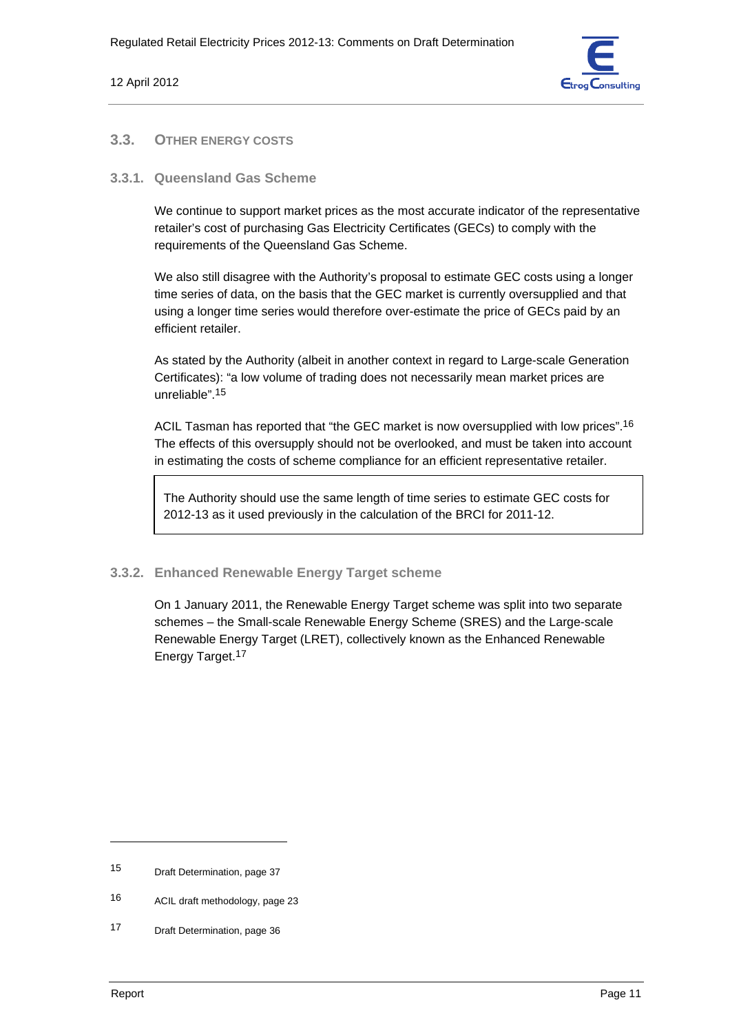

# **3.3. OTHER ENERGY COSTS**

### **3.3.1. Queensland Gas Scheme**

We continue to support market prices as the most accurate indicator of the representative retailer's cost of purchasing Gas Electricity Certificates (GECs) to comply with the requirements of the Queensland Gas Scheme.

We also still disagree with the Authority's proposal to estimate GEC costs using a longer time series of data, on the basis that the GEC market is currently oversupplied and that using a longer time series would therefore over-estimate the price of GECs paid by an efficient retailer.

As stated by the Authority (albeit in another context in regard to Large-scale Generation Certificates): "a low volume of trading does not necessarily mean market prices are unreliable".15

ACIL Tasman has reported that "the GEC market is now oversupplied with low prices".<sup>16</sup> The effects of this oversupply should not be overlooked, and must be taken into account in estimating the costs of scheme compliance for an efficient representative retailer.

The Authority should use the same length of time series to estimate GEC costs for 2012-13 as it used previously in the calculation of the BRCI for 2011-12.

### **3.3.2. Enhanced Renewable Energy Target scheme**

On 1 January 2011, the Renewable Energy Target scheme was split into two separate schemes – the Small-scale Renewable Energy Scheme (SRES) and the Large-scale Renewable Energy Target (LRET), collectively known as the Enhanced Renewable Energy Target.17

<sup>15</sup> Draft Determination, page 37

<sup>16</sup> ACIL draft methodology, page 23

<sup>17</sup> Draft Determination, page 36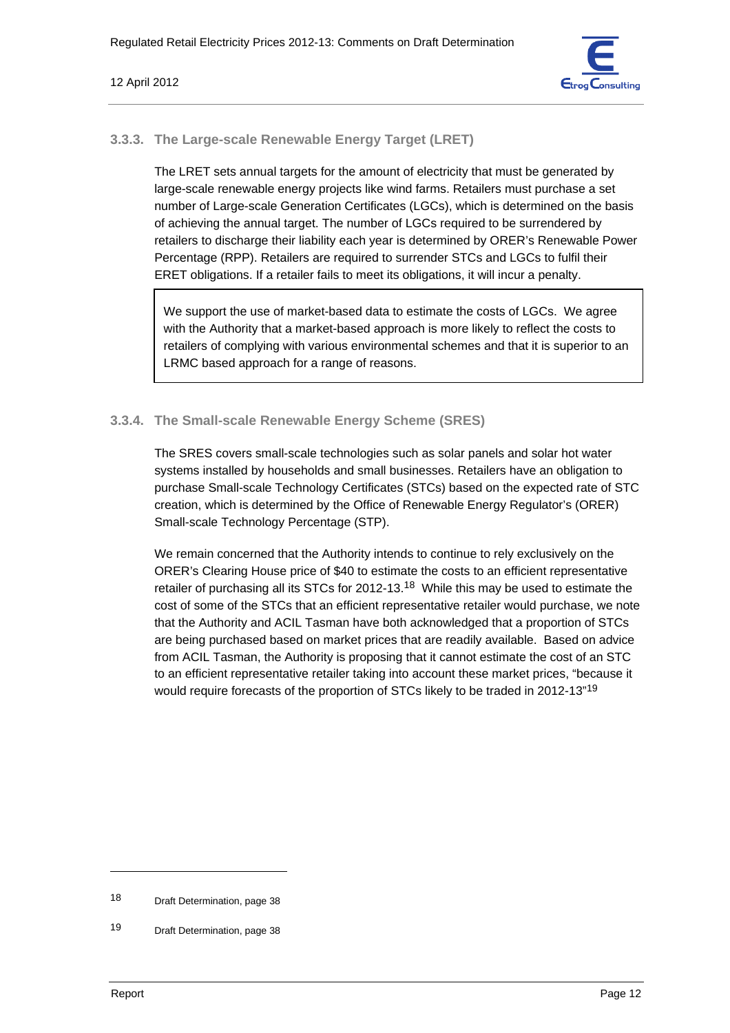

# **3.3.3. The Large-scale Renewable Energy Target (LRET)**

The LRET sets annual targets for the amount of electricity that must be generated by large-scale renewable energy projects like wind farms. Retailers must purchase a set number of Large-scale Generation Certificates (LGCs), which is determined on the basis of achieving the annual target. The number of LGCs required to be surrendered by retailers to discharge their liability each year is determined by ORER's Renewable Power Percentage (RPP). Retailers are required to surrender STCs and LGCs to fulfil their ERET obligations. If a retailer fails to meet its obligations, it will incur a penalty.

We support the use of market-based data to estimate the costs of LGCs. We agree with the Authority that a market-based approach is more likely to reflect the costs to retailers of complying with various environmental schemes and that it is superior to an LRMC based approach for a range of reasons.

# **3.3.4. The Small-scale Renewable Energy Scheme (SRES)**

The SRES covers small-scale technologies such as solar panels and solar hot water systems installed by households and small businesses. Retailers have an obligation to purchase Small-scale Technology Certificates (STCs) based on the expected rate of STC creation, which is determined by the Office of Renewable Energy Regulator's (ORER) Small-scale Technology Percentage (STP).

We remain concerned that the Authority intends to continue to rely exclusively on the ORER's Clearing House price of \$40 to estimate the costs to an efficient representative retailer of purchasing all its STCs for 2012-13.18 While this may be used to estimate the cost of some of the STCs that an efficient representative retailer would purchase, we note that the Authority and ACIL Tasman have both acknowledged that a proportion of STCs are being purchased based on market prices that are readily available. Based on advice from ACIL Tasman, the Authority is proposing that it cannot estimate the cost of an STC to an efficient representative retailer taking into account these market prices, "because it would require forecasts of the proportion of STCs likely to be traded in 2012-13"<sup>19</sup>

<sup>18</sup> Draft Determination, page 38

<sup>19</sup> Draft Determination, page 38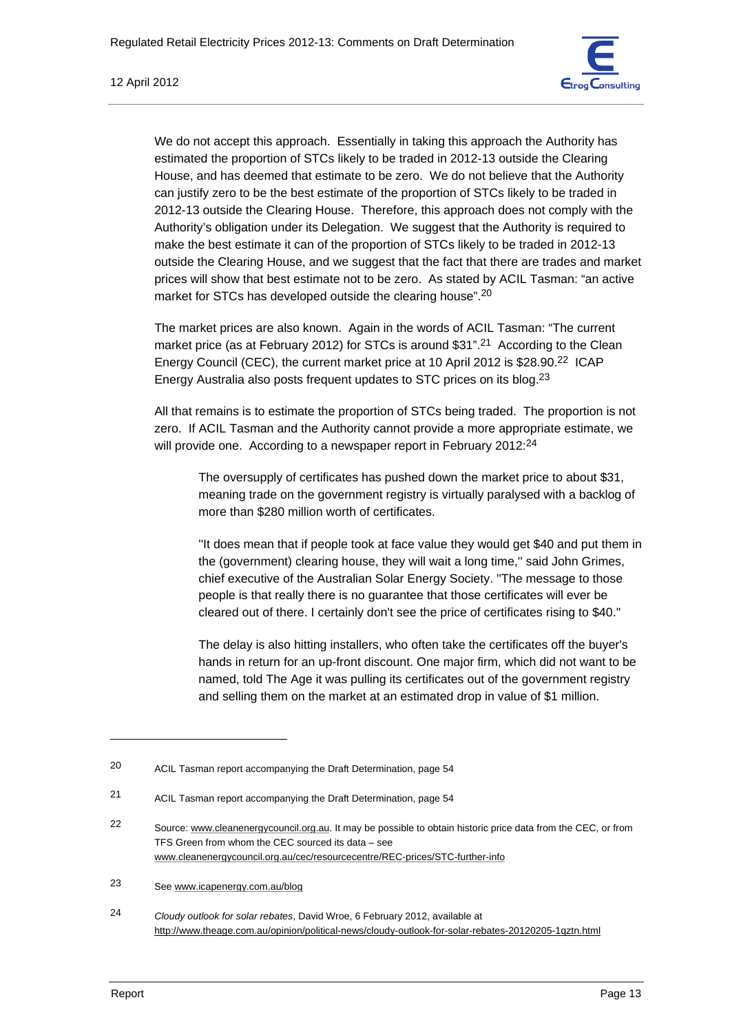

We do not accept this approach. Essentially in taking this approach the Authority has estimated the proportion of STCs likely to be traded in 2012-13 outside the Clearing House, and has deemed that estimate to be zero. We do not believe that the Authority can justify zero to be the best estimate of the proportion of STCs likely to be traded in 2012-13 outside the Clearing House. Therefore, this approach does not comply with the Authority's obligation under its Delegation. We suggest that the Authority is required to make the best estimate it can of the proportion of STCs likely to be traded in 2012-13 outside the Clearing House, and we suggest that the fact that there are trades and market prices will show that best estimate not to be zero. As stated by ACIL Tasman: "an active market for STCs has developed outside the clearing house".<sup>20</sup>

The market prices are also known. Again in the words of ACIL Tasman: "The current market price (as at February 2012) for STCs is around \$31".<sup>21</sup> According to the Clean Energy Council (CEC), the current market price at 10 April 2012 is \$28.90.22 ICAP Energy Australia also posts frequent updates to STC prices on its blog.23

All that remains is to estimate the proportion of STCs being traded. The proportion is not zero. If ACIL Tasman and the Authority cannot provide a more appropriate estimate, we will provide one. According to a newspaper report in February 2012:<sup>24</sup>

The oversupply of certificates has pushed down the market price to about \$31, meaning trade on the government registry is virtually paralysed with a backlog of more than \$280 million worth of certificates.

''It does mean that if people took at face value they would get \$40 and put them in the (government) clearing house, they will wait a long time,'' said John Grimes, chief executive of the Australian Solar Energy Society. ''The message to those people is that really there is no guarantee that those certificates will ever be cleared out of there. I certainly don't see the price of certificates rising to \$40.''

The delay is also hitting installers, who often take the certificates off the buyer's hands in return for an up-front discount. One major firm, which did not want to be named, told The Age it was pulling its certificates out of the government registry and selling them on the market at an estimated drop in value of \$1 million.

23 See www.icapenergy.com.au/blog

24 *Cloudy outlook for solar rebates*, David Wroe, 6 February 2012, available at http://www.theage.com.au/opinion/political-news/cloudy-outlook-for-solar-rebates-20120205-1qztn.html

<sup>20</sup> ACIL Tasman report accompanying the Draft Determination, page 54

<sup>21</sup> ACIL Tasman report accompanying the Draft Determination, page 54

<sup>22</sup> Source: www.cleanenergycouncil.org.au. It may be possible to obtain historic price data from the CEC, or from TFS Green from whom the CEC sourced its data – see www.cleanenergycouncil.org.au/cec/resourcecentre/REC-prices/STC-further-info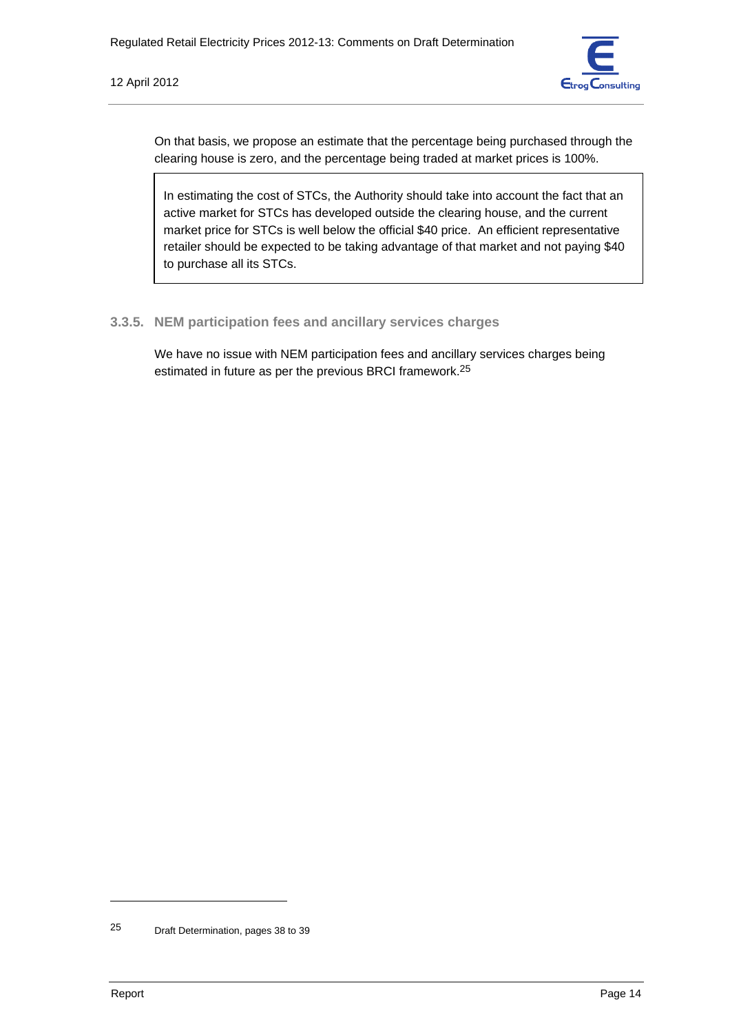

On that basis, we propose an estimate that the percentage being purchased through the clearing house is zero, and the percentage being traded at market prices is 100%.

In estimating the cost of STCs, the Authority should take into account the fact that an active market for STCs has developed outside the clearing house, and the current market price for STCs is well below the official \$40 price. An efficient representative retailer should be expected to be taking advantage of that market and not paying \$40 to purchase all its STCs.

# **3.3.5. NEM participation fees and ancillary services charges**

We have no issue with NEM participation fees and ancillary services charges being estimated in future as per the previous BRCI framework.25

<sup>25</sup> Draft Determination, pages 38 to 39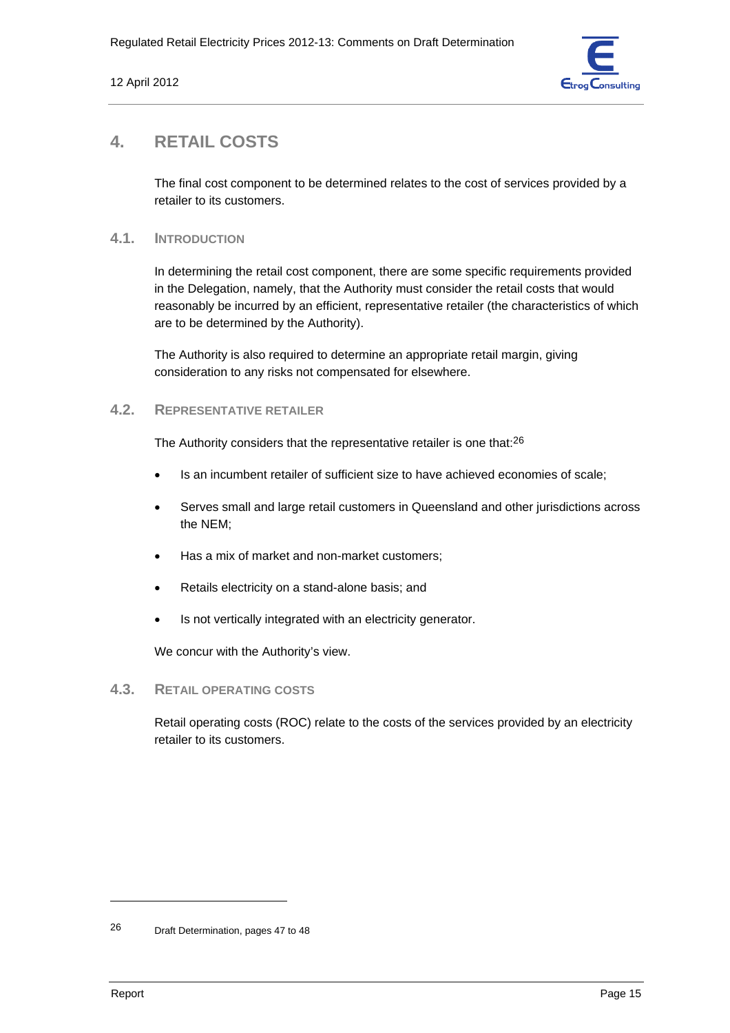

# **4. RETAIL COSTS**

The final cost component to be determined relates to the cost of services provided by a retailer to its customers.

## **4.1. INTRODUCTION**

In determining the retail cost component, there are some specific requirements provided in the Delegation, namely, that the Authority must consider the retail costs that would reasonably be incurred by an efficient, representative retailer (the characteristics of which are to be determined by the Authority).

The Authority is also required to determine an appropriate retail margin, giving consideration to any risks not compensated for elsewhere.

# **4.2. REPRESENTATIVE RETAILER**

The Authority considers that the representative retailer is one that:<sup>26</sup>

- Is an incumbent retailer of sufficient size to have achieved economies of scale;
- Serves small and large retail customers in Queensland and other jurisdictions across the NEM;
- Has a mix of market and non-market customers;
- Retails electricity on a stand-alone basis; and
- Is not vertically integrated with an electricity generator.

We concur with the Authority's view.

### **4.3. RETAIL OPERATING COSTS**

Retail operating costs (ROC) relate to the costs of the services provided by an electricity retailer to its customers.

<sup>26</sup> Draft Determination, pages 47 to 48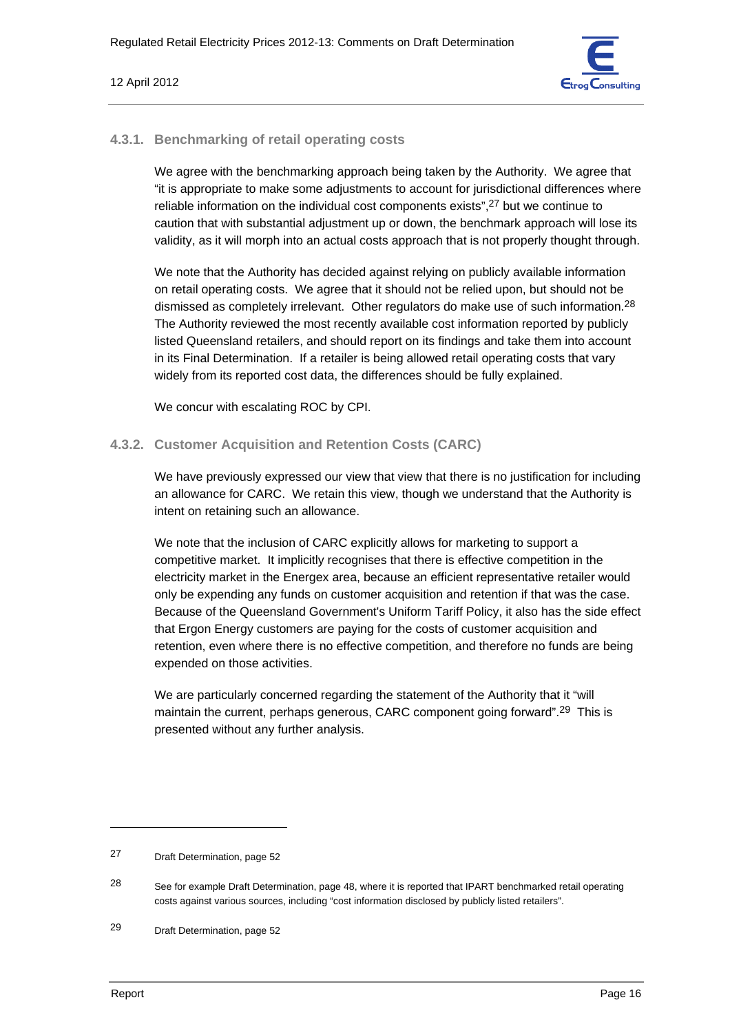

## **4.3.1. Benchmarking of retail operating costs**

We agree with the benchmarking approach being taken by the Authority. We agree that "it is appropriate to make some adjustments to account for jurisdictional differences where reliable information on the individual cost components exists",27 but we continue to caution that with substantial adjustment up or down, the benchmark approach will lose its validity, as it will morph into an actual costs approach that is not properly thought through.

We note that the Authority has decided against relying on publicly available information on retail operating costs. We agree that it should not be relied upon, but should not be dismissed as completely irrelevant. Other regulators do make use of such information.<sup>28</sup> The Authority reviewed the most recently available cost information reported by publicly listed Queensland retailers, and should report on its findings and take them into account in its Final Determination. If a retailer is being allowed retail operating costs that vary widely from its reported cost data, the differences should be fully explained.

We concur with escalating ROC by CPI.

# **4.3.2. Customer Acquisition and Retention Costs (CARC)**

We have previously expressed our view that view that there is no justification for including an allowance for CARC. We retain this view, though we understand that the Authority is intent on retaining such an allowance.

We note that the inclusion of CARC explicitly allows for marketing to support a competitive market. It implicitly recognises that there is effective competition in the electricity market in the Energex area, because an efficient representative retailer would only be expending any funds on customer acquisition and retention if that was the case. Because of the Queensland Government's Uniform Tariff Policy, it also has the side effect that Ergon Energy customers are paying for the costs of customer acquisition and retention, even where there is no effective competition, and therefore no funds are being expended on those activities.

We are particularly concerned regarding the statement of the Authority that it "will maintain the current, perhaps generous, CARC component going forward".29 This is presented without any further analysis.

<sup>27</sup> Draft Determination, page 52

<sup>&</sup>lt;sup>28</sup> See for example Draft Determination, page 48, where it is reported that IPART benchmarked retail operating costs against various sources, including "cost information disclosed by publicly listed retailers".

<sup>29</sup> Draft Determination, page 52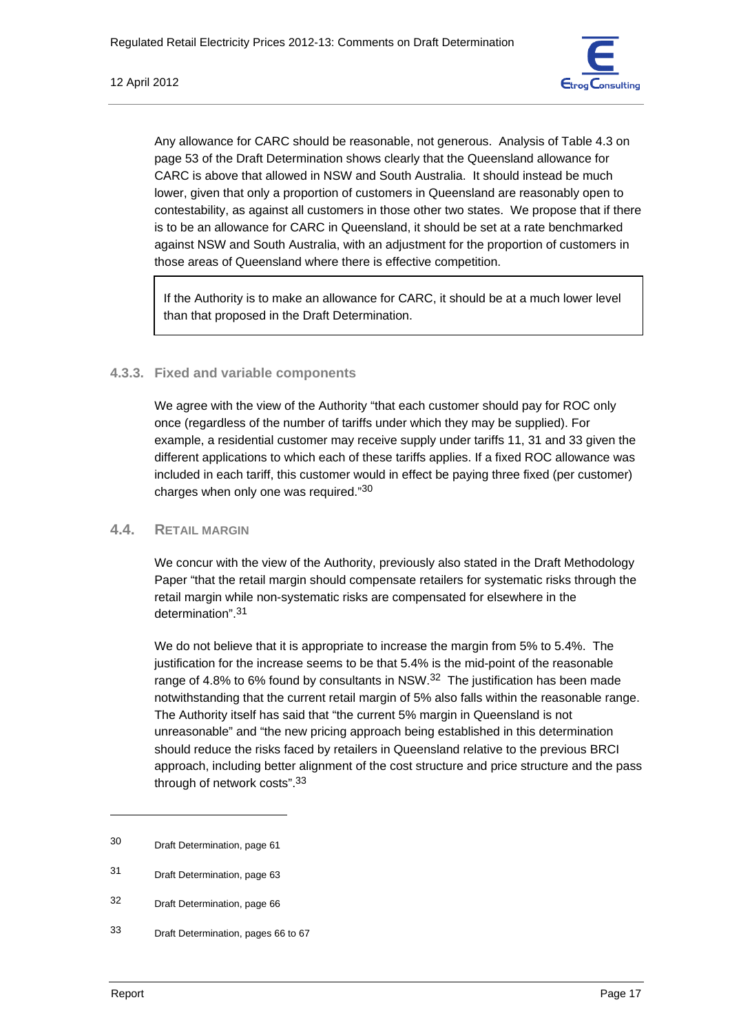

Any allowance for CARC should be reasonable, not generous. Analysis of Table 4.3 on page 53 of the Draft Determination shows clearly that the Queensland allowance for CARC is above that allowed in NSW and South Australia. It should instead be much lower, given that only a proportion of customers in Queensland are reasonably open to contestability, as against all customers in those other two states. We propose that if there is to be an allowance for CARC in Queensland, it should be set at a rate benchmarked against NSW and South Australia, with an adjustment for the proportion of customers in those areas of Queensland where there is effective competition.

If the Authority is to make an allowance for CARC, it should be at a much lower level than that proposed in the Draft Determination.

# **4.3.3. Fixed and variable components**

We agree with the view of the Authority "that each customer should pay for ROC only once (regardless of the number of tariffs under which they may be supplied). For example, a residential customer may receive supply under tariffs 11, 31 and 33 given the different applications to which each of these tariffs applies. If a fixed ROC allowance was included in each tariff, this customer would in effect be paying three fixed (per customer) charges when only one was required."30

# **4.4. RETAIL MARGIN**

We concur with the view of the Authority, previously also stated in the Draft Methodology Paper "that the retail margin should compensate retailers for systematic risks through the retail margin while non-systematic risks are compensated for elsewhere in the determination" 31

We do not believe that it is appropriate to increase the margin from 5% to 5.4%. The justification for the increase seems to be that 5.4% is the mid-point of the reasonable range of 4.8% to 6% found by consultants in NSW. $32$  The justification has been made notwithstanding that the current retail margin of 5% also falls within the reasonable range. The Authority itself has said that "the current 5% margin in Queensland is not unreasonable" and "the new pricing approach being established in this determination should reduce the risks faced by retailers in Queensland relative to the previous BRCI approach, including better alignment of the cost structure and price structure and the pass through of network costs".33

<sup>30</sup> Draft Determination, page 61

<sup>31</sup> Draft Determination, page 63

<sup>32</sup> Draft Determination, page 66

<sup>33</sup> Draft Determination, pages 66 to 67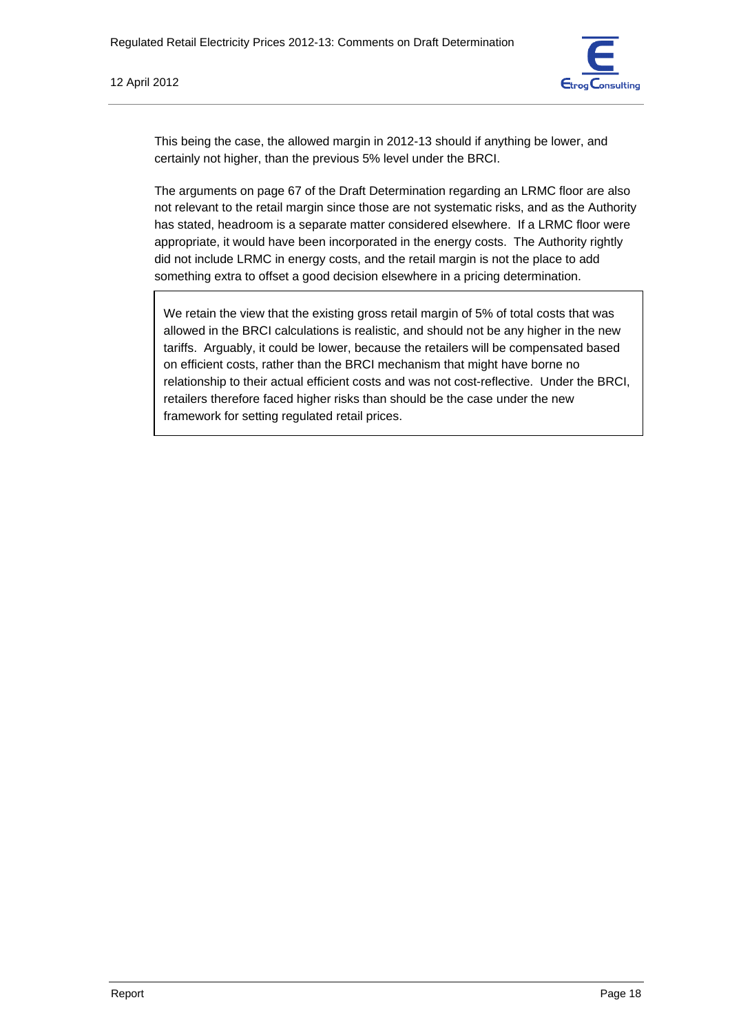

This being the case, the allowed margin in 2012-13 should if anything be lower, and certainly not higher, than the previous 5% level under the BRCI.

The arguments on page 67 of the Draft Determination regarding an LRMC floor are also not relevant to the retail margin since those are not systematic risks, and as the Authority has stated, headroom is a separate matter considered elsewhere. If a LRMC floor were appropriate, it would have been incorporated in the energy costs. The Authority rightly did not include LRMC in energy costs, and the retail margin is not the place to add something extra to offset a good decision elsewhere in a pricing determination.

We retain the view that the existing gross retail margin of 5% of total costs that was allowed in the BRCI calculations is realistic, and should not be any higher in the new tariffs. Arguably, it could be lower, because the retailers will be compensated based on efficient costs, rather than the BRCI mechanism that might have borne no relationship to their actual efficient costs and was not cost-reflective. Under the BRCI, retailers therefore faced higher risks than should be the case under the new framework for setting regulated retail prices.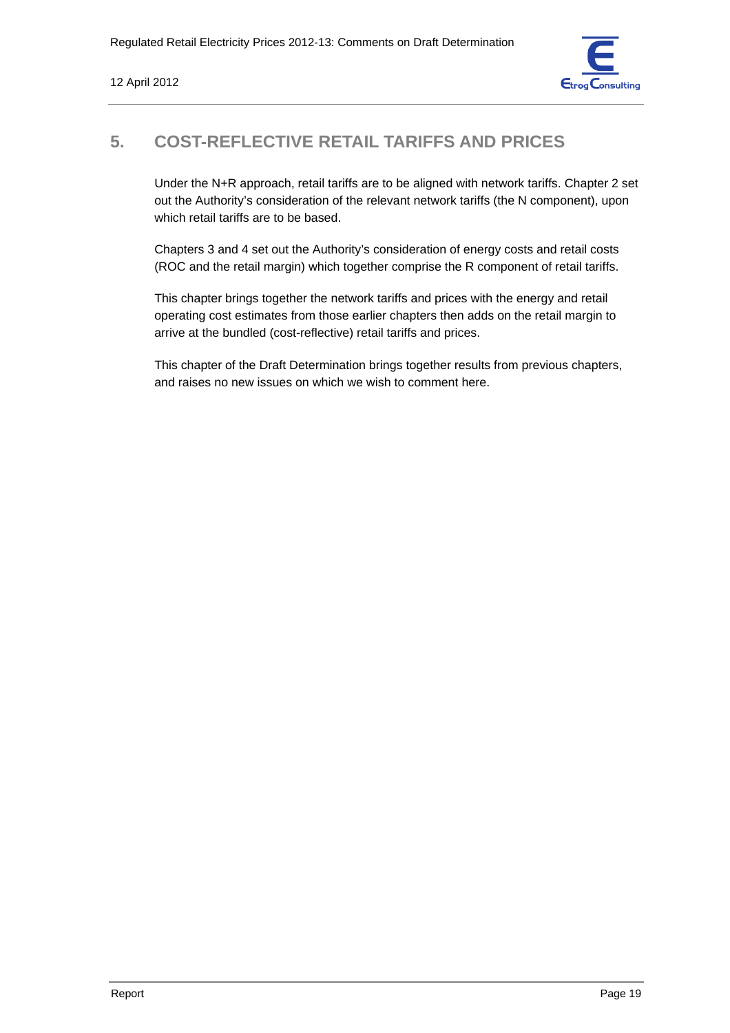

# **5. COST-REFLECTIVE RETAIL TARIFFS AND PRICES**

Under the N+R approach, retail tariffs are to be aligned with network tariffs. Chapter 2 set out the Authority's consideration of the relevant network tariffs (the N component), upon which retail tariffs are to be based.

Chapters 3 and 4 set out the Authority's consideration of energy costs and retail costs (ROC and the retail margin) which together comprise the R component of retail tariffs.

This chapter brings together the network tariffs and prices with the energy and retail operating cost estimates from those earlier chapters then adds on the retail margin to arrive at the bundled (cost-reflective) retail tariffs and prices.

This chapter of the Draft Determination brings together results from previous chapters, and raises no new issues on which we wish to comment here.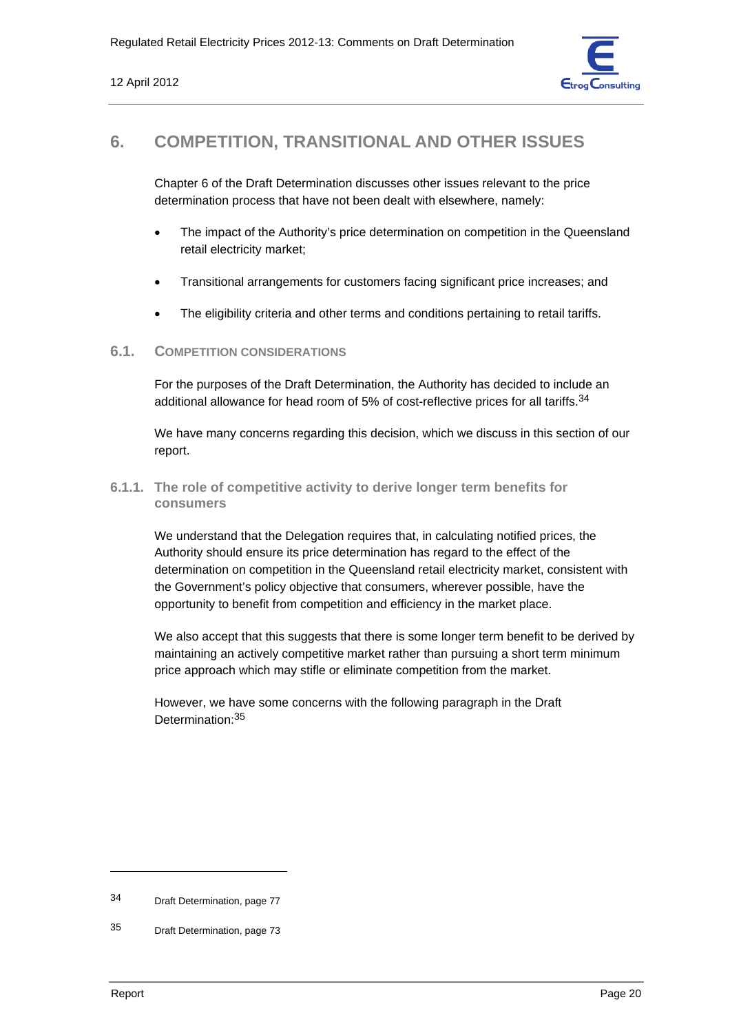

# **6. COMPETITION, TRANSITIONAL AND OTHER ISSUES**

Chapter 6 of the Draft Determination discusses other issues relevant to the price determination process that have not been dealt with elsewhere, namely:

- The impact of the Authority's price determination on competition in the Queensland retail electricity market;
- Transitional arrangements for customers facing significant price increases; and
- The eligibility criteria and other terms and conditions pertaining to retail tariffs.

# **6.1. COMPETITION CONSIDERATIONS**

For the purposes of the Draft Determination, the Authority has decided to include an additional allowance for head room of 5% of cost-reflective prices for all tariffs.<sup>34</sup>

We have many concerns regarding this decision, which we discuss in this section of our report.

**6.1.1. The role of competitive activity to derive longer term benefits for consumers** 

We understand that the Delegation requires that, in calculating notified prices, the Authority should ensure its price determination has regard to the effect of the determination on competition in the Queensland retail electricity market, consistent with the Government's policy objective that consumers, wherever possible, have the opportunity to benefit from competition and efficiency in the market place.

We also accept that this suggests that there is some longer term benefit to be derived by maintaining an actively competitive market rather than pursuing a short term minimum price approach which may stifle or eliminate competition from the market.

However, we have some concerns with the following paragraph in the Draft Determination:35

<sup>34</sup> Draft Determination, page 77

<sup>35</sup> Draft Determination, page 73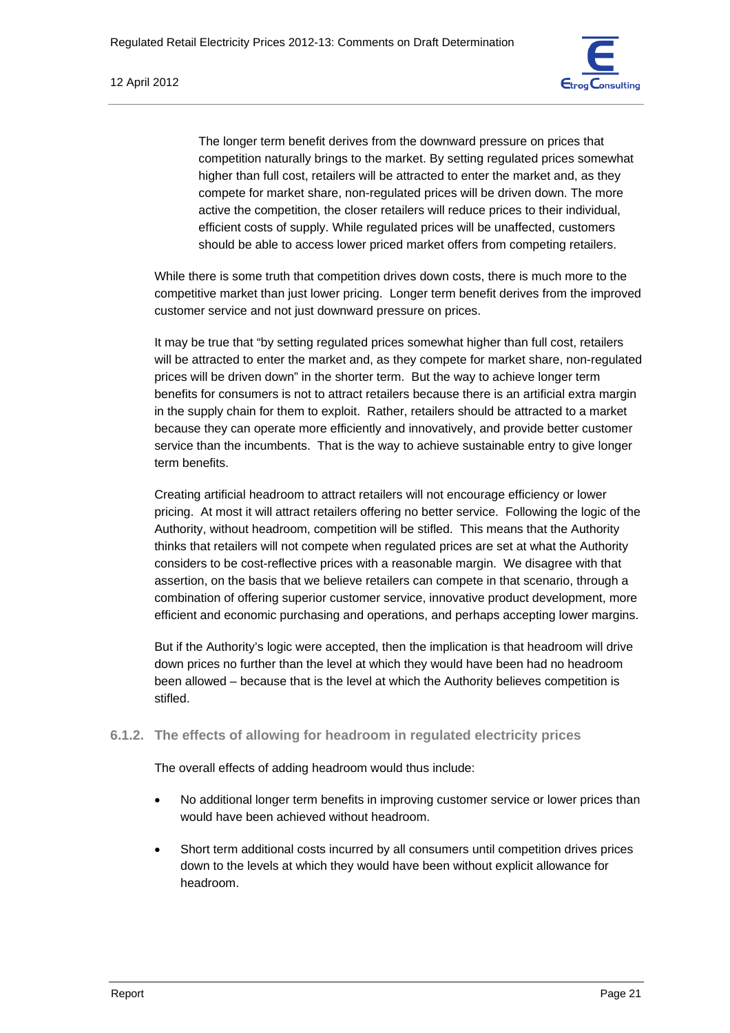

The longer term benefit derives from the downward pressure on prices that competition naturally brings to the market. By setting regulated prices somewhat higher than full cost, retailers will be attracted to enter the market and, as they compete for market share, non-regulated prices will be driven down. The more active the competition, the closer retailers will reduce prices to their individual, efficient costs of supply. While regulated prices will be unaffected, customers should be able to access lower priced market offers from competing retailers.

While there is some truth that competition drives down costs, there is much more to the competitive market than just lower pricing. Longer term benefit derives from the improved customer service and not just downward pressure on prices.

It may be true that "by setting regulated prices somewhat higher than full cost, retailers will be attracted to enter the market and, as they compete for market share, non-regulated prices will be driven down" in the shorter term. But the way to achieve longer term benefits for consumers is not to attract retailers because there is an artificial extra margin in the supply chain for them to exploit. Rather, retailers should be attracted to a market because they can operate more efficiently and innovatively, and provide better customer service than the incumbents. That is the way to achieve sustainable entry to give longer term benefits.

Creating artificial headroom to attract retailers will not encourage efficiency or lower pricing. At most it will attract retailers offering no better service. Following the logic of the Authority, without headroom, competition will be stifled. This means that the Authority thinks that retailers will not compete when regulated prices are set at what the Authority considers to be cost-reflective prices with a reasonable margin. We disagree with that assertion, on the basis that we believe retailers can compete in that scenario, through a combination of offering superior customer service, innovative product development, more efficient and economic purchasing and operations, and perhaps accepting lower margins.

But if the Authority's logic were accepted, then the implication is that headroom will drive down prices no further than the level at which they would have been had no headroom been allowed – because that is the level at which the Authority believes competition is stifled.

### **6.1.2. The effects of allowing for headroom in regulated electricity prices**

The overall effects of adding headroom would thus include:

- No additional longer term benefits in improving customer service or lower prices than would have been achieved without headroom.
- Short term additional costs incurred by all consumers until competition drives prices down to the levels at which they would have been without explicit allowance for headroom.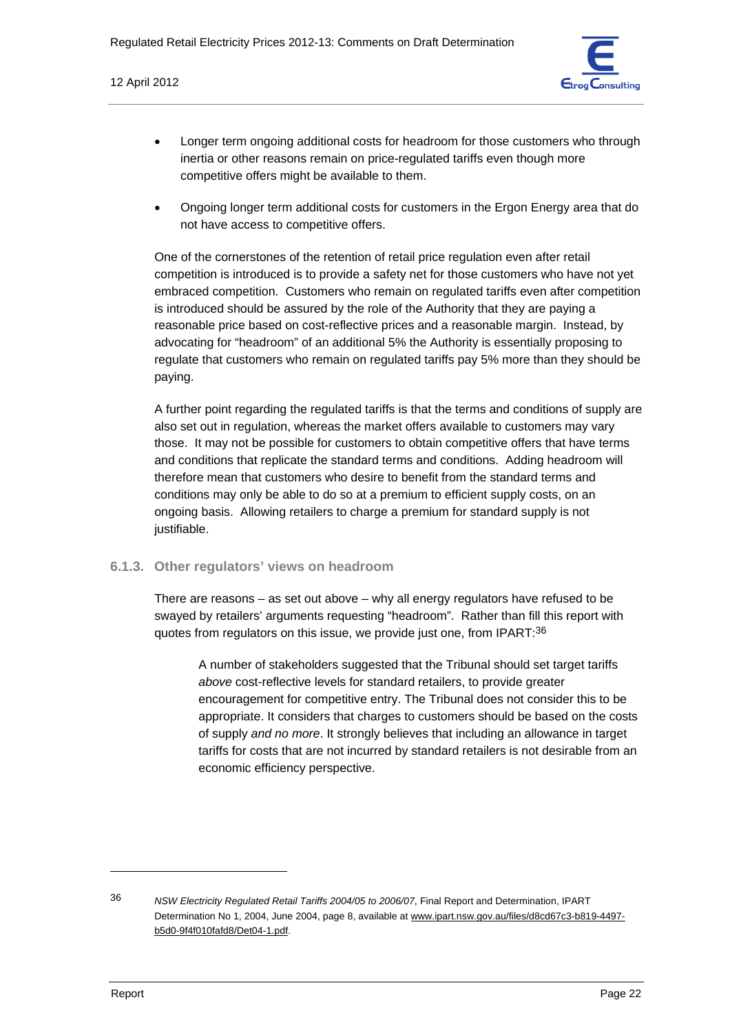

- Longer term ongoing additional costs for headroom for those customers who through inertia or other reasons remain on price-regulated tariffs even though more competitive offers might be available to them.
- Ongoing longer term additional costs for customers in the Ergon Energy area that do not have access to competitive offers.

One of the cornerstones of the retention of retail price regulation even after retail competition is introduced is to provide a safety net for those customers who have not yet embraced competition. Customers who remain on regulated tariffs even after competition is introduced should be assured by the role of the Authority that they are paying a reasonable price based on cost-reflective prices and a reasonable margin. Instead, by advocating for "headroom" of an additional 5% the Authority is essentially proposing to regulate that customers who remain on regulated tariffs pay 5% more than they should be paying.

A further point regarding the regulated tariffs is that the terms and conditions of supply are also set out in regulation, whereas the market offers available to customers may vary those. It may not be possible for customers to obtain competitive offers that have terms and conditions that replicate the standard terms and conditions. Adding headroom will therefore mean that customers who desire to benefit from the standard terms and conditions may only be able to do so at a premium to efficient supply costs, on an ongoing basis. Allowing retailers to charge a premium for standard supply is not justifiable.

### **6.1.3. Other regulators' views on headroom**

There are reasons – as set out above – why all energy regulators have refused to be swayed by retailers' arguments requesting "headroom". Rather than fill this report with quotes from regulators on this issue, we provide just one, from IPART:36

A number of stakeholders suggested that the Tribunal should set target tariffs *above* cost-reflective levels for standard retailers, to provide greater encouragement for competitive entry. The Tribunal does not consider this to be appropriate. It considers that charges to customers should be based on the costs of supply *and no more*. It strongly believes that including an allowance in target tariffs for costs that are not incurred by standard retailers is not desirable from an economic efficiency perspective.

<sup>36</sup> *NSW Electricity Regulated Retail Tariffs 2004/05 to 2006/07*, Final Report and Determination, IPART Determination No 1, 2004, June 2004, page 8, available at www.ipart.nsw.gov.au/files/d8cd67c3-b819-4497 b5d0-9f4f010fafd8/Det04-1.pdf.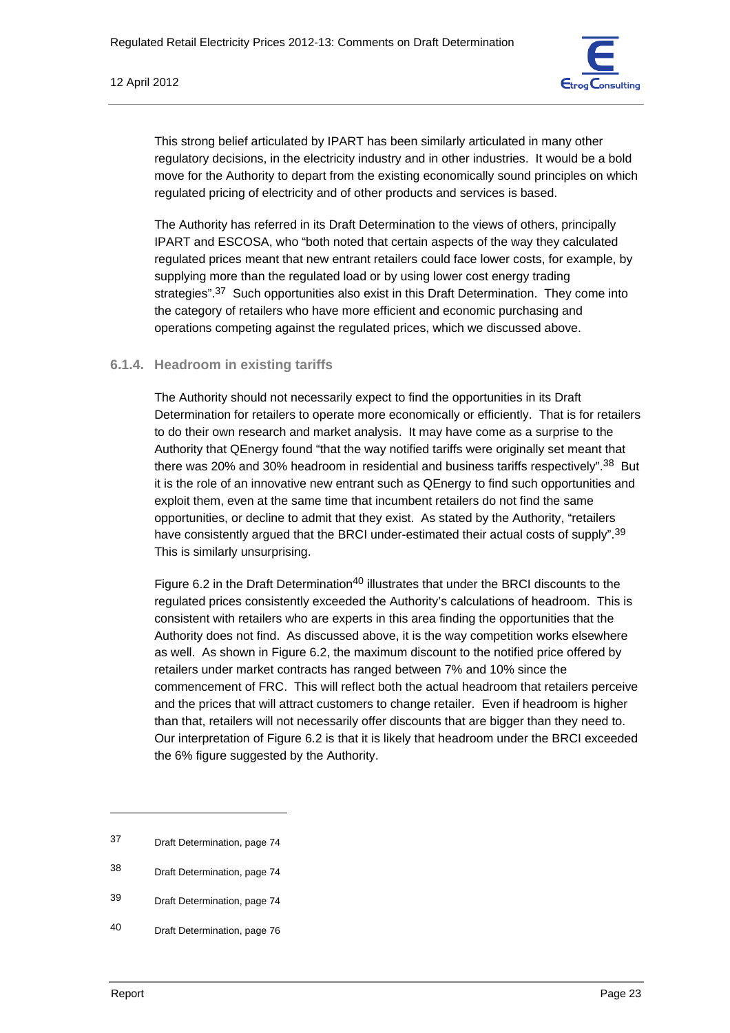

This strong belief articulated by IPART has been similarly articulated in many other regulatory decisions, in the electricity industry and in other industries. It would be a bold move for the Authority to depart from the existing economically sound principles on which regulated pricing of electricity and of other products and services is based.

The Authority has referred in its Draft Determination to the views of others, principally IPART and ESCOSA, who "both noted that certain aspects of the way they calculated regulated prices meant that new entrant retailers could face lower costs, for example, by supplying more than the regulated load or by using lower cost energy trading strategies".<sup>37</sup> Such opportunities also exist in this Draft Determination. They come into the category of retailers who have more efficient and economic purchasing and operations competing against the regulated prices, which we discussed above.

# **6.1.4. Headroom in existing tariffs**

The Authority should not necessarily expect to find the opportunities in its Draft Determination for retailers to operate more economically or efficiently. That is for retailers to do their own research and market analysis. It may have come as a surprise to the Authority that QEnergy found "that the way notified tariffs were originally set meant that there was 20% and 30% headroom in residential and business tariffs respectively".38 But it is the role of an innovative new entrant such as QEnergy to find such opportunities and exploit them, even at the same time that incumbent retailers do not find the same opportunities, or decline to admit that they exist. As stated by the Authority, "retailers have consistently argued that the BRCI under-estimated their actual costs of supply".<sup>39</sup> This is similarly unsurprising.

Figure 6.2 in the Draft Determination<sup>40</sup> illustrates that under the BRCI discounts to the regulated prices consistently exceeded the Authority's calculations of headroom. This is consistent with retailers who are experts in this area finding the opportunities that the Authority does not find. As discussed above, it is the way competition works elsewhere as well. As shown in Figure 6.2, the maximum discount to the notified price offered by retailers under market contracts has ranged between 7% and 10% since the commencement of FRC. This will reflect both the actual headroom that retailers perceive and the prices that will attract customers to change retailer. Even if headroom is higher than that, retailers will not necessarily offer discounts that are bigger than they need to. Our interpretation of Figure 6.2 is that it is likely that headroom under the BRCI exceeded the 6% figure suggested by the Authority.

<sup>37</sup> Draft Determination, page 74

<sup>38</sup> Draft Determination, page 74

<sup>39</sup> Draft Determination, page 74

<sup>40</sup> Draft Determination, page 76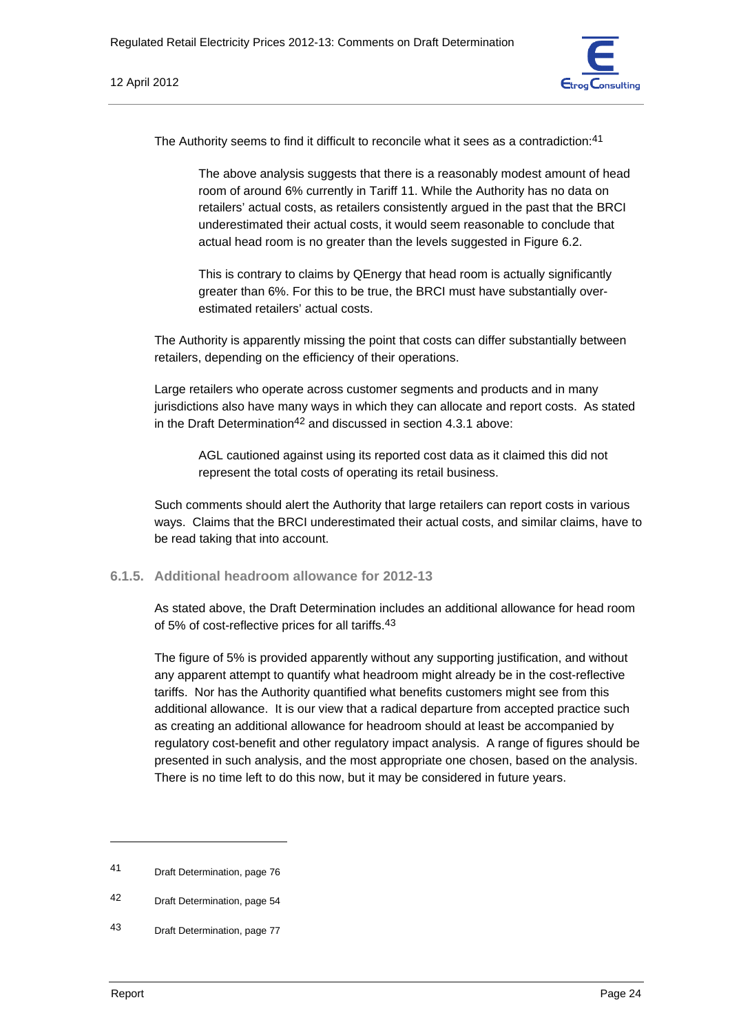

The Authority seems to find it difficult to reconcile what it sees as a contradiction:<sup>41</sup>

The above analysis suggests that there is a reasonably modest amount of head room of around 6% currently in Tariff 11. While the Authority has no data on retailers' actual costs, as retailers consistently argued in the past that the BRCI underestimated their actual costs, it would seem reasonable to conclude that actual head room is no greater than the levels suggested in Figure 6.2.

This is contrary to claims by QEnergy that head room is actually significantly greater than 6%. For this to be true, the BRCI must have substantially overestimated retailers' actual costs.

The Authority is apparently missing the point that costs can differ substantially between retailers, depending on the efficiency of their operations.

Large retailers who operate across customer segments and products and in many jurisdictions also have many ways in which they can allocate and report costs. As stated in the Draft Determination<sup>42</sup> and discussed in section 4.3.1 above:

AGL cautioned against using its reported cost data as it claimed this did not represent the total costs of operating its retail business.

Such comments should alert the Authority that large retailers can report costs in various ways. Claims that the BRCI underestimated their actual costs, and similar claims, have to be read taking that into account.

### **6.1.5. Additional headroom allowance for 2012-13**

As stated above, the Draft Determination includes an additional allowance for head room of 5% of cost-reflective prices for all tariffs.43

The figure of 5% is provided apparently without any supporting justification, and without any apparent attempt to quantify what headroom might already be in the cost-reflective tariffs. Nor has the Authority quantified what benefits customers might see from this additional allowance. It is our view that a radical departure from accepted practice such as creating an additional allowance for headroom should at least be accompanied by regulatory cost-benefit and other regulatory impact analysis. A range of figures should be presented in such analysis, and the most appropriate one chosen, based on the analysis. There is no time left to do this now, but it may be considered in future years.

<sup>41</sup> Draft Determination, page 76

<sup>42</sup> Draft Determination, page 54

<sup>43</sup> Draft Determination, page 77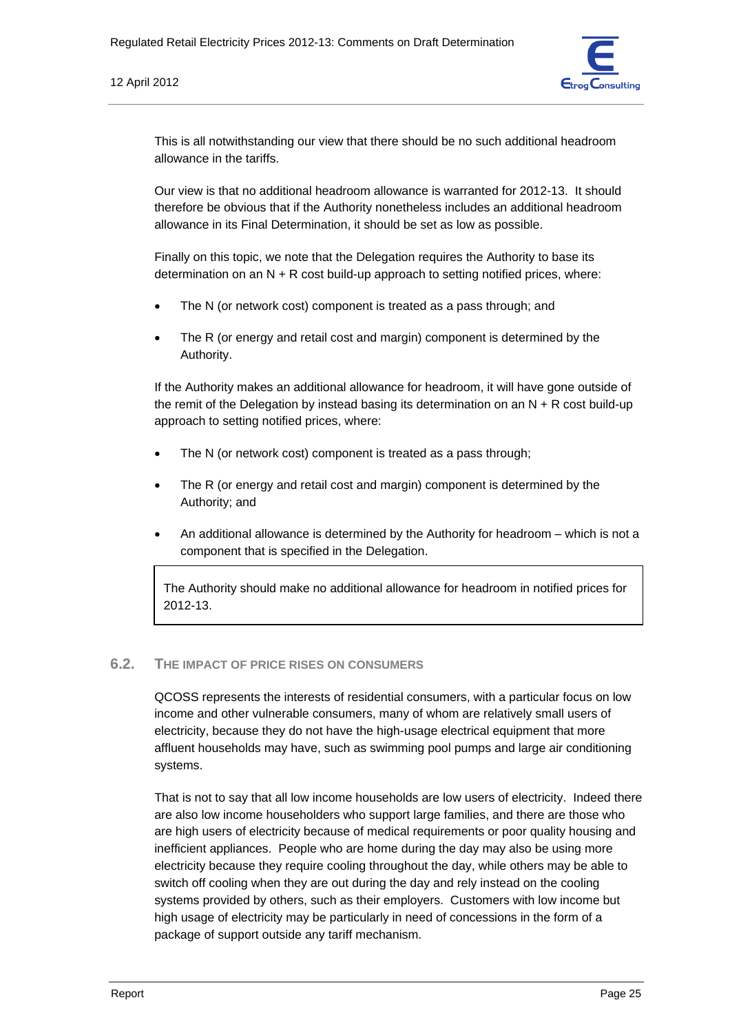

This is all notwithstanding our view that there should be no such additional headroom allowance in the tariffs.

Our view is that no additional headroom allowance is warranted for 2012-13. It should therefore be obvious that if the Authority nonetheless includes an additional headroom allowance in its Final Determination, it should be set as low as possible.

Finally on this topic, we note that the Delegation requires the Authority to base its determination on an  $N + R$  cost build-up approach to setting notified prices, where:

- The N (or network cost) component is treated as a pass through: and
- The R (or energy and retail cost and margin) component is determined by the Authority.

If the Authority makes an additional allowance for headroom, it will have gone outside of the remit of the Delegation by instead basing its determination on an  $N + R$  cost build-up approach to setting notified prices, where:

- The N (or network cost) component is treated as a pass through:
- The R (or energy and retail cost and margin) component is determined by the Authority; and
- An additional allowance is determined by the Authority for headroom which is not a component that is specified in the Delegation.

The Authority should make no additional allowance for headroom in notified prices for 2012-13.

### **6.2. THE IMPACT OF PRICE RISES ON CONSUMERS**

QCOSS represents the interests of residential consumers, with a particular focus on low income and other vulnerable consumers, many of whom are relatively small users of electricity, because they do not have the high-usage electrical equipment that more affluent households may have, such as swimming pool pumps and large air conditioning systems.

That is not to say that all low income households are low users of electricity. Indeed there are also low income householders who support large families, and there are those who are high users of electricity because of medical requirements or poor quality housing and inefficient appliances. People who are home during the day may also be using more electricity because they require cooling throughout the day, while others may be able to switch off cooling when they are out during the day and rely instead on the cooling systems provided by others, such as their employers. Customers with low income but high usage of electricity may be particularly in need of concessions in the form of a package of support outside any tariff mechanism.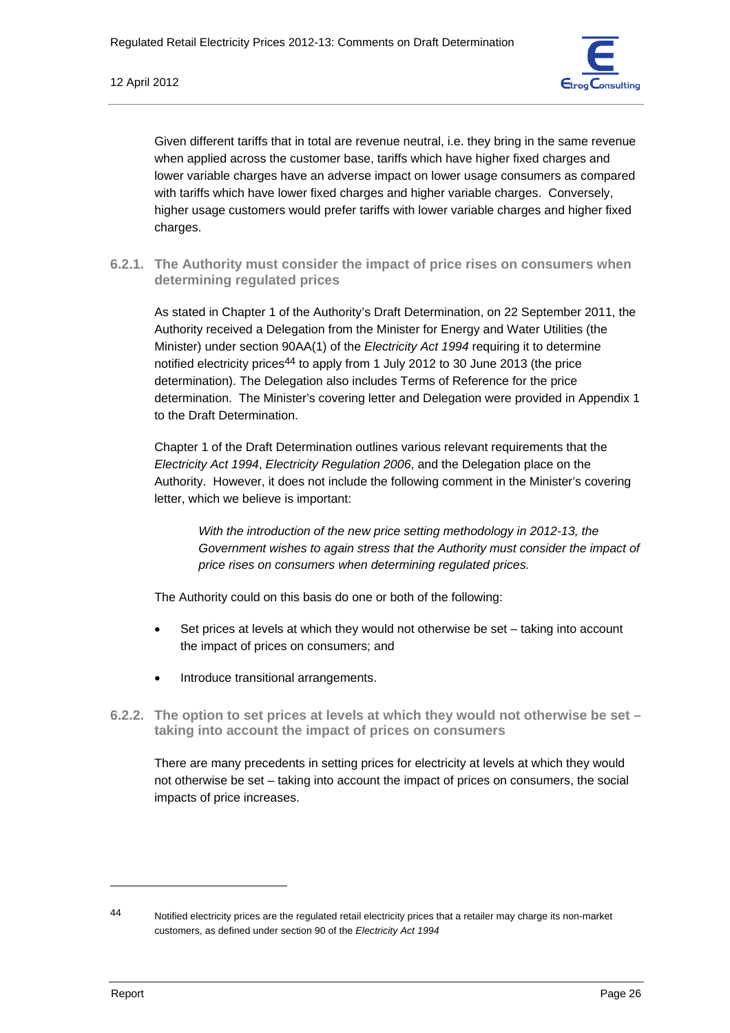

Given different tariffs that in total are revenue neutral, i.e. they bring in the same revenue when applied across the customer base, tariffs which have higher fixed charges and lower variable charges have an adverse impact on lower usage consumers as compared with tariffs which have lower fixed charges and higher variable charges. Conversely, higher usage customers would prefer tariffs with lower variable charges and higher fixed charges.

**6.2.1. The Authority must consider the impact of price rises on consumers when determining regulated prices** 

As stated in Chapter 1 of the Authority's Draft Determination, on 22 September 2011, the Authority received a Delegation from the Minister for Energy and Water Utilities (the Minister) under section 90AA(1) of the *Electricity Act 1994* requiring it to determine notified electricity prices44 to apply from 1 July 2012 to 30 June 2013 (the price determination). The Delegation also includes Terms of Reference for the price determination. The Minister's covering letter and Delegation were provided in Appendix 1 to the Draft Determination.

Chapter 1 of the Draft Determination outlines various relevant requirements that the *Electricity Act 1994*, *Electricity Regulation 2006*, and the Delegation place on the Authority. However, it does not include the following comment in the Minister's covering letter, which we believe is important:

*With the introduction of the new price setting methodology in 2012-13, the Government wishes to again stress that the Authority must consider the impact of price rises on consumers when determining regulated prices.* 

The Authority could on this basis do one or both of the following:

- Set prices at levels at which they would not otherwise be set taking into account the impact of prices on consumers; and
- Introduce transitional arrangements.
- **6.2.2. The option to set prices at levels at which they would not otherwise be set taking into account the impact of prices on consumers**

There are many precedents in setting prices for electricity at levels at which they would not otherwise be set – taking into account the impact of prices on consumers, the social impacts of price increases.

<sup>44</sup> Notified electricity prices are the regulated retail electricity prices that a retailer may charge its non-market customers, as defined under section 90 of the *Electricity Act 1994*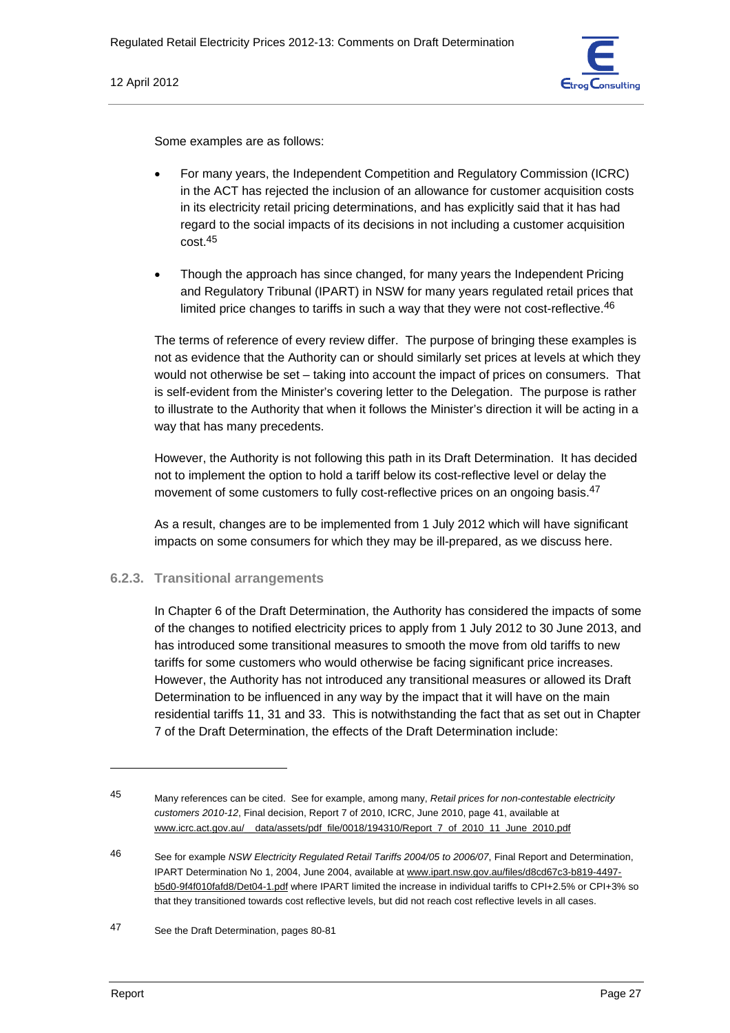

Some examples are as follows:

- For many years, the Independent Competition and Regulatory Commission (ICRC) in the ACT has rejected the inclusion of an allowance for customer acquisition costs in its electricity retail pricing determinations, and has explicitly said that it has had regard to the social impacts of its decisions in not including a customer acquisition cost.45
- Though the approach has since changed, for many years the Independent Pricing and Regulatory Tribunal (IPART) in NSW for many years regulated retail prices that limited price changes to tariffs in such a way that they were not cost-reflective.<sup>46</sup>

The terms of reference of every review differ. The purpose of bringing these examples is not as evidence that the Authority can or should similarly set prices at levels at which they would not otherwise be set – taking into account the impact of prices on consumers. That is self-evident from the Minister's covering letter to the Delegation. The purpose is rather to illustrate to the Authority that when it follows the Minister's direction it will be acting in a way that has many precedents.

However, the Authority is not following this path in its Draft Determination. It has decided not to implement the option to hold a tariff below its cost-reflective level or delay the movement of some customers to fully cost-reflective prices on an ongoing basis.<sup>47</sup>

As a result, changes are to be implemented from 1 July 2012 which will have significant impacts on some consumers for which they may be ill-prepared, as we discuss here.

### **6.2.3. Transitional arrangements**

In Chapter 6 of the Draft Determination, the Authority has considered the impacts of some of the changes to notified electricity prices to apply from 1 July 2012 to 30 June 2013, and has introduced some transitional measures to smooth the move from old tariffs to new tariffs for some customers who would otherwise be facing significant price increases. However, the Authority has not introduced any transitional measures or allowed its Draft Determination to be influenced in any way by the impact that it will have on the main residential tariffs 11, 31 and 33. This is notwithstanding the fact that as set out in Chapter 7 of the Draft Determination, the effects of the Draft Determination include:

<sup>45</sup> Many references can be cited. See for example, among many, *Retail prices for non-contestable electricity customers 2010-12*, Final decision, Report 7 of 2010, ICRC, June 2010, page 41, available at www.icrc.act.gov.au/\_\_data/assets/pdf\_file/0018/194310/Report\_7\_of\_2010\_11\_June\_2010.pdf

<sup>46</sup> See for example *NSW Electricity Regulated Retail Tariffs 2004/05 to 2006/07*, Final Report and Determination, IPART Determination No 1, 2004, June 2004, available at www.ipart.nsw.gov.au/files/d8cd67c3-b819-4497 b5d0-9f4f010fafd8/Det04-1.pdf where IPART limited the increase in individual tariffs to CPI+2.5% or CPI+3% so that they transitioned towards cost reflective levels, but did not reach cost reflective levels in all cases.

<sup>47</sup> See the Draft Determination, pages 80-81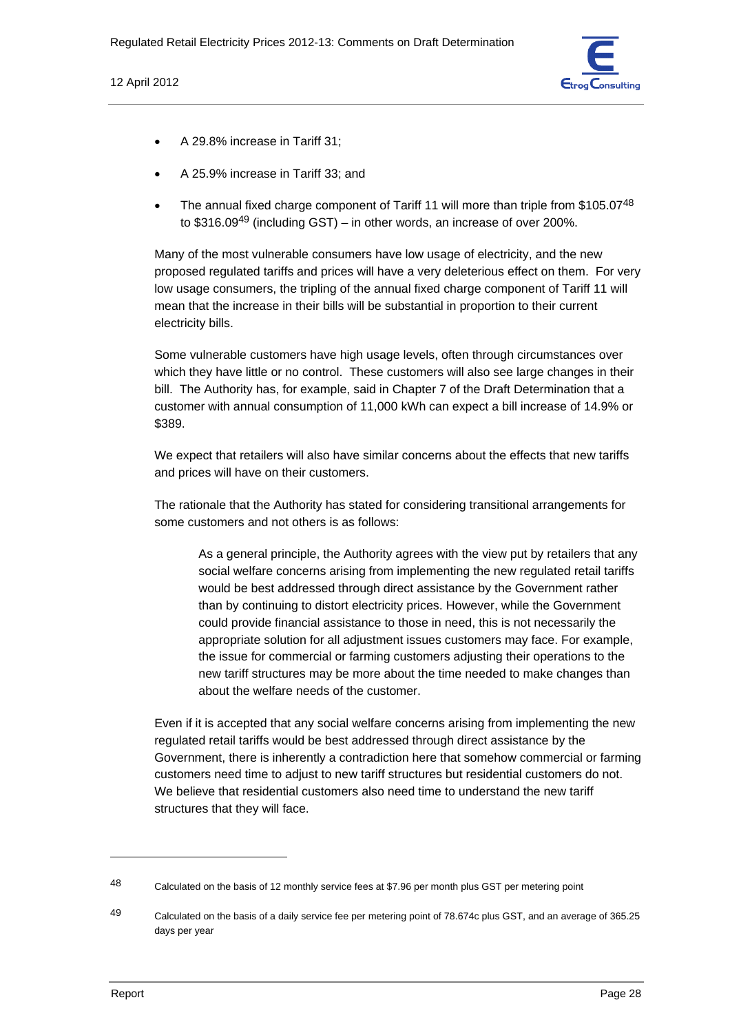

- A 29.8% increase in Tariff 31;
- A 25.9% increase in Tariff 33; and
- The annual fixed charge component of Tariff 11 will more than triple from \$105.07<sup>48</sup> to  $$316.09<sup>49</sup>$  (including GST) – in other words, an increase of over 200%.

Many of the most vulnerable consumers have low usage of electricity, and the new proposed regulated tariffs and prices will have a very deleterious effect on them. For very low usage consumers, the tripling of the annual fixed charge component of Tariff 11 will mean that the increase in their bills will be substantial in proportion to their current electricity bills.

Some vulnerable customers have high usage levels, often through circumstances over which they have little or no control. These customers will also see large changes in their bill. The Authority has, for example, said in Chapter 7 of the Draft Determination that a customer with annual consumption of 11,000 kWh can expect a bill increase of 14.9% or \$389.

We expect that retailers will also have similar concerns about the effects that new tariffs and prices will have on their customers.

The rationale that the Authority has stated for considering transitional arrangements for some customers and not others is as follows:

As a general principle, the Authority agrees with the view put by retailers that any social welfare concerns arising from implementing the new regulated retail tariffs would be best addressed through direct assistance by the Government rather than by continuing to distort electricity prices. However, while the Government could provide financial assistance to those in need, this is not necessarily the appropriate solution for all adjustment issues customers may face. For example, the issue for commercial or farming customers adjusting their operations to the new tariff structures may be more about the time needed to make changes than about the welfare needs of the customer.

Even if it is accepted that any social welfare concerns arising from implementing the new regulated retail tariffs would be best addressed through direct assistance by the Government, there is inherently a contradiction here that somehow commercial or farming customers need time to adjust to new tariff structures but residential customers do not. We believe that residential customers also need time to understand the new tariff structures that they will face.

<sup>48</sup> Calculated on the basis of 12 monthly service fees at \$7.96 per month plus GST per metering point

<sup>49</sup> Calculated on the basis of a daily service fee per metering point of 78.674c plus GST, and an average of 365.25 days per year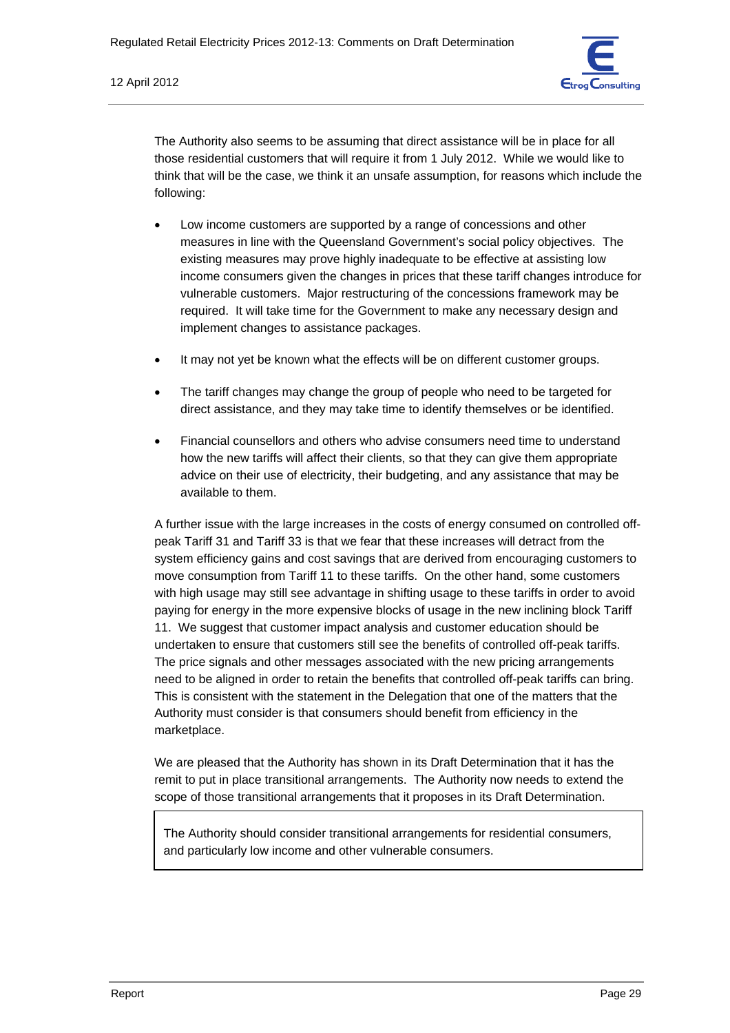

The Authority also seems to be assuming that direct assistance will be in place for all those residential customers that will require it from 1 July 2012. While we would like to think that will be the case, we think it an unsafe assumption, for reasons which include the following:

- Low income customers are supported by a range of concessions and other measures in line with the Queensland Government's social policy objectives. The existing measures may prove highly inadequate to be effective at assisting low income consumers given the changes in prices that these tariff changes introduce for vulnerable customers. Major restructuring of the concessions framework may be required. It will take time for the Government to make any necessary design and implement changes to assistance packages.
- It may not yet be known what the effects will be on different customer groups.
- The tariff changes may change the group of people who need to be targeted for direct assistance, and they may take time to identify themselves or be identified.
- Financial counsellors and others who advise consumers need time to understand how the new tariffs will affect their clients, so that they can give them appropriate advice on their use of electricity, their budgeting, and any assistance that may be available to them.

A further issue with the large increases in the costs of energy consumed on controlled offpeak Tariff 31 and Tariff 33 is that we fear that these increases will detract from the system efficiency gains and cost savings that are derived from encouraging customers to move consumption from Tariff 11 to these tariffs. On the other hand, some customers with high usage may still see advantage in shifting usage to these tariffs in order to avoid paying for energy in the more expensive blocks of usage in the new inclining block Tariff 11. We suggest that customer impact analysis and customer education should be undertaken to ensure that customers still see the benefits of controlled off-peak tariffs. The price signals and other messages associated with the new pricing arrangements need to be aligned in order to retain the benefits that controlled off-peak tariffs can bring. This is consistent with the statement in the Delegation that one of the matters that the Authority must consider is that consumers should benefit from efficiency in the marketplace.

We are pleased that the Authority has shown in its Draft Determination that it has the remit to put in place transitional arrangements. The Authority now needs to extend the scope of those transitional arrangements that it proposes in its Draft Determination.

The Authority should consider transitional arrangements for residential consumers, and particularly low income and other vulnerable consumers.